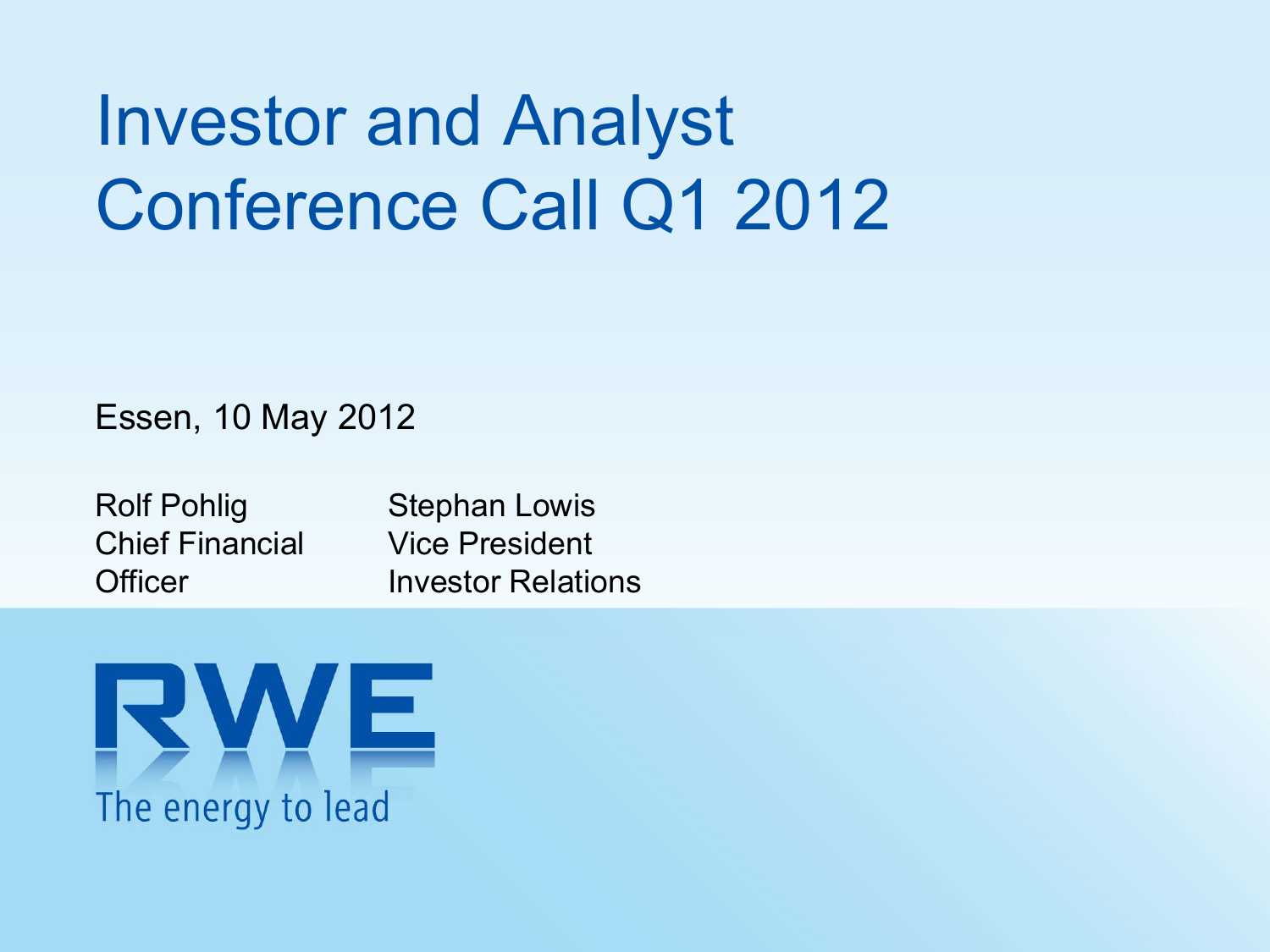# Investor and Analyst Conference Call Q1 2012

Essen, 10 May 2012

Rolf Pohlig Chief Financial**Officer** 

Stephan Lowis Vice PresidentInvestor Relations

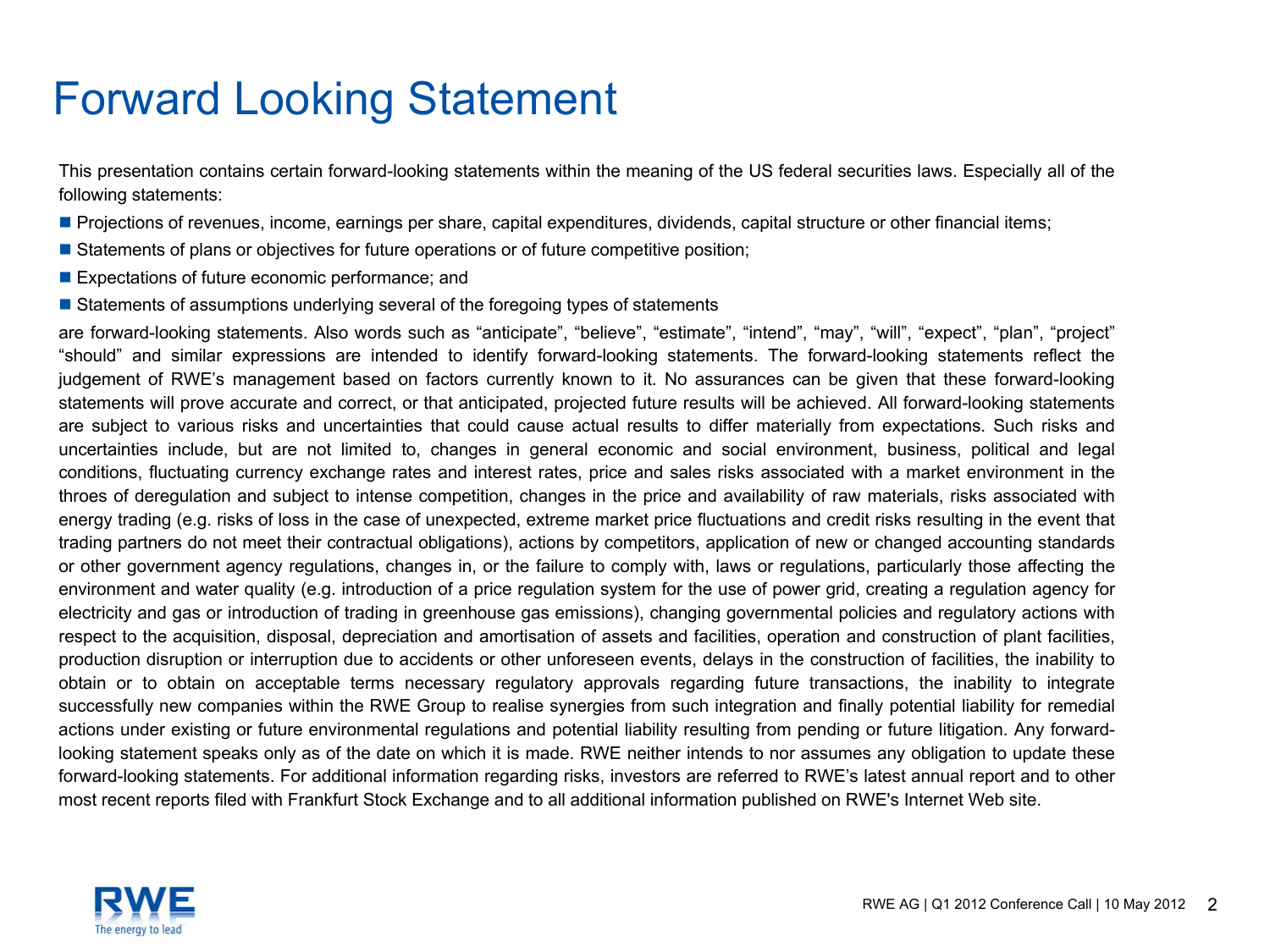#### Forward Looking Statement

This presentation contains certain forward-looking statements within the meaning of the US federal securities laws. Especially all of the following statements:

- Projections of revenues, income, earnings per share, capital expenditures, dividends, capital structure or other financial items;
- **Statements of plans or objectives for future operations or of future competitive position**;
- **Expectations of future economic performance; and**
- **Statements of assumptions underlying several of the foregoing types of statements**

are forward-looking statements. Also words such as "anticipate", "believe", "estimate", "intend", "may", "will", "expect", "plan", "project" "should" and similar expressions are intended to identify forward-looking statements. The forward-looking statements reflect the judgement of RWE's management based on factors currently known to it. No assurances can be given that these forward-looking statements will prove accurate and correct, or that anticipated, projected future results will be achieved. All forward-looking statements are subject to various risks and uncertainties that could cause actual results to differ materially from expectations. Such risks and uncertainties include, but are not limited to, changes in general economic and social environment, business, political and legal conditions, fluctuating currency exchange rates and interest rates, price and sales risks associated with a market environment in the throes of deregulation and subject to intense competition, changes in the price and availability of raw materials, risks associated with energy trading (e.g. risks of loss in the case of unexpected, extreme market price fluctuations and credit risks resulting in the event that trading partners do not meet their contractual obligations), actions by competitors, application of new or changed accounting standards or other government agency regulations, changes in, or the failure to comply with, laws or regulations, particularly those affecting the environment and water quality (e.g. introduction of a price regulation system for the use of power grid, creating a regulation agency for electricity and gas or introduction of trading in greenhouse gas emissions), changing governmental policies and regulatory actions with respect to the acquisition, disposal, depreciation and amortisation of assets and facilities, operation and construction of plant facilities, production disruption or interruption due to accidents or other unforeseen events, delays in the construction of facilities, the inability to obtain or to obtain on acceptable terms necessary regulatory approvals regarding future transactions, the inability to integrate successfully new companies within the RWE Group to realise synergies from such integration and finally potential liability for remedial actions under existing or future environmental regulations and potential liability resulting from pending or future litigation. Any forwardlooking statement speaks only as of the date on which it is made. RWE neither intends to nor assumes any obligation to update these forward-looking statements. For additional information regarding risks, investors are referred to RWE's latest annual report and to other most recent reports filed with Frankfurt Stock Exchange and to all additional information published on RWE's Internet Web site.

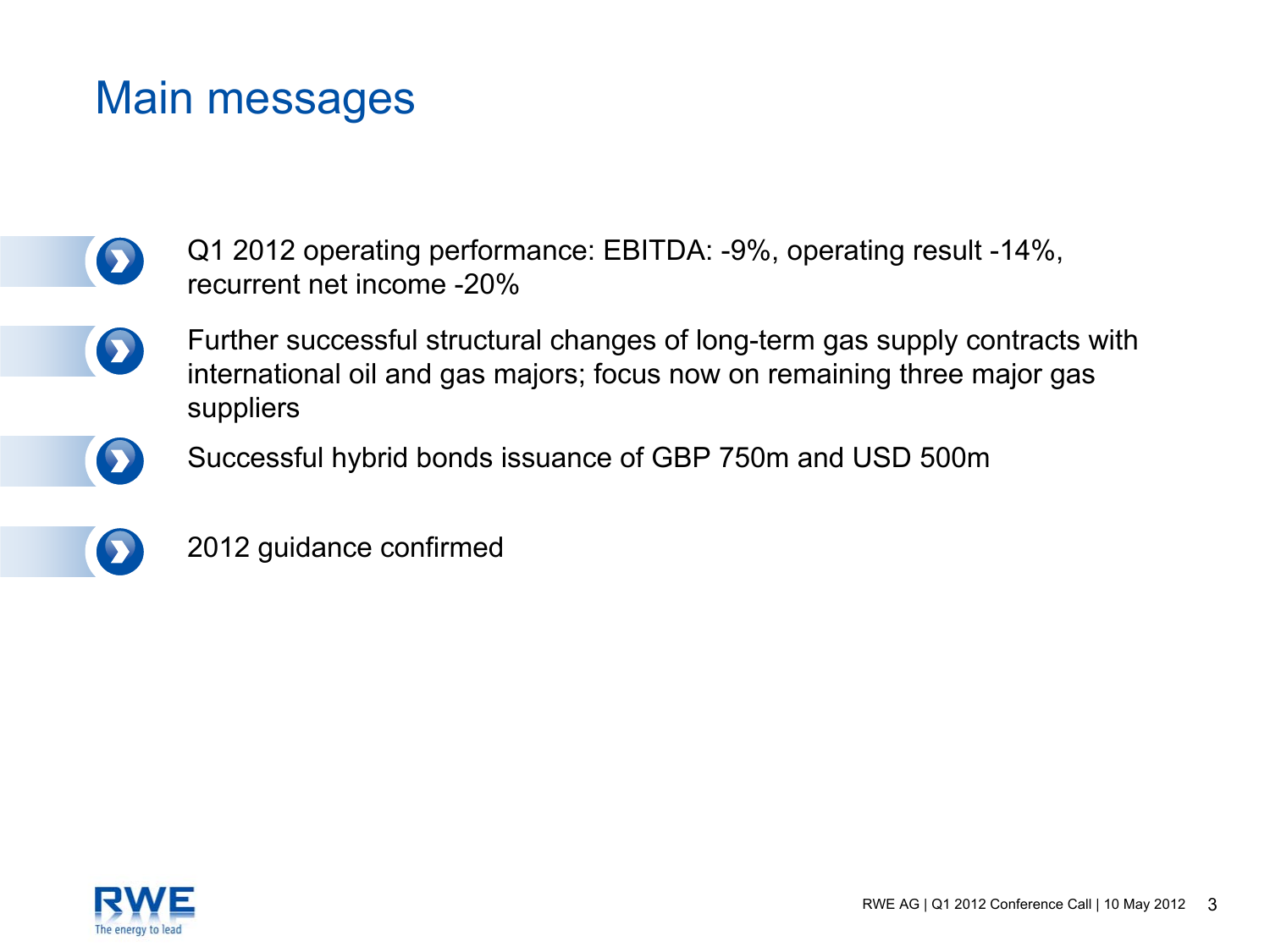#### Main messages

- Q1 2012 operating performance: EBITDA: -9%, operating result -14%,  $\bullet$ recurrent net income -20%
	- Further successful structural changes of long-term gas supply contracts with international oil and gas majors; focus now on remaining three major gas suppliers
		- Successful hybrid bonds issuance of GBP 750m and USD 500m



 $\bullet$ 

2012 guidance confirmed

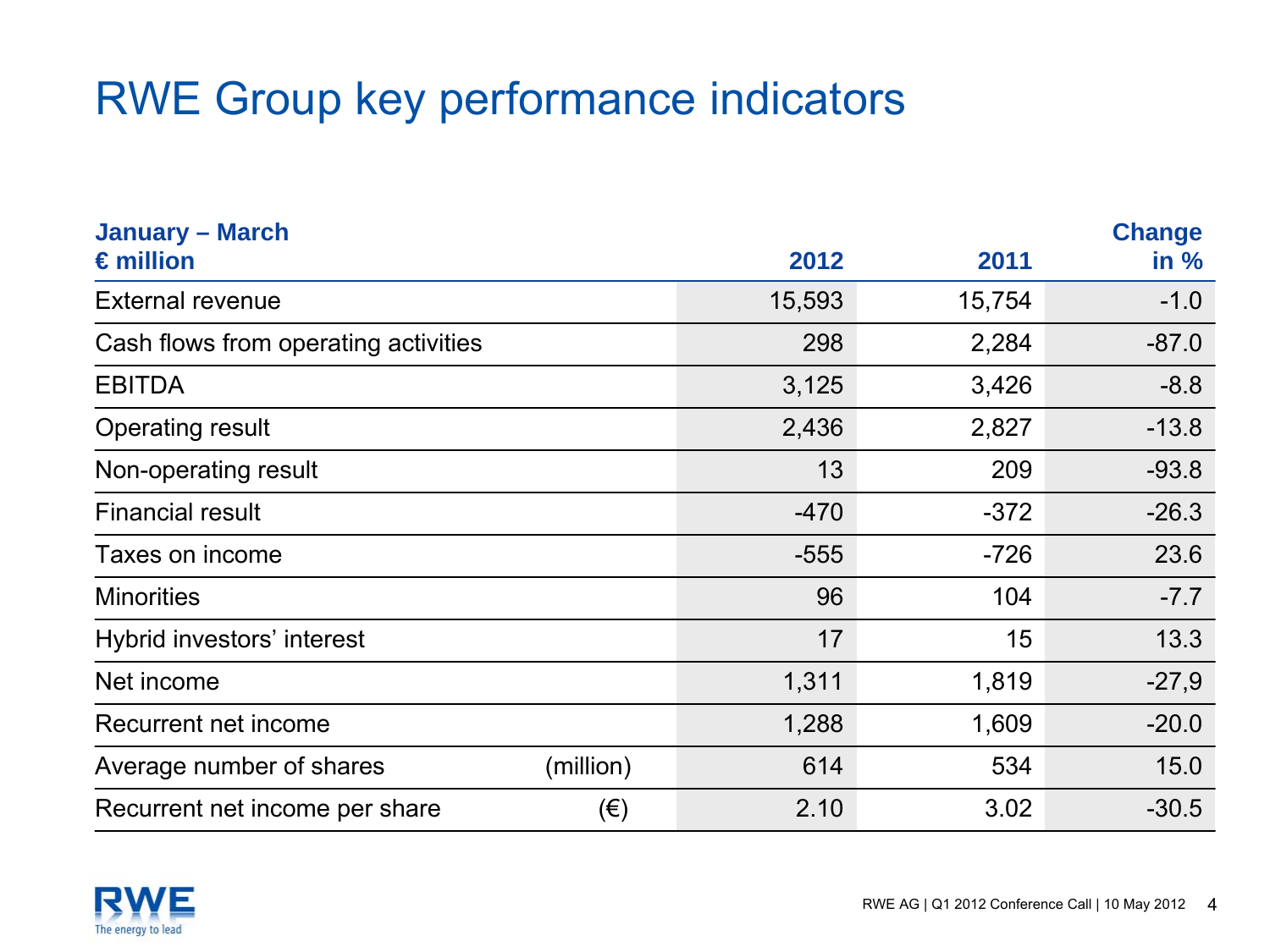### RWE Group key performance indicators

| <b>January – March</b>               |           |        |        | <b>Change</b> |  |  |
|--------------------------------------|-----------|--------|--------|---------------|--|--|
| $\epsilon$ million                   |           | 2012   | 2011   | in $%$        |  |  |
| <b>External revenue</b>              |           | 15,593 | 15,754 | $-1.0$        |  |  |
| Cash flows from operating activities |           | 298    | 2,284  |               |  |  |
| <b>EBITDA</b>                        |           | 3,125  | 3,426  | $-8.8$        |  |  |
| <b>Operating result</b>              |           | 2,436  | 2,827  | $-13.8$       |  |  |
| Non-operating result                 |           | 13     | 209    | $-93.8$       |  |  |
| <b>Financial result</b>              |           | $-470$ | $-372$ | $-26.3$       |  |  |
| Taxes on income                      |           | $-555$ | $-726$ | 23.6          |  |  |
| <b>Minorities</b>                    |           | 96     | 104    | $-7.7$        |  |  |
| Hybrid investors' interest           |           | 17     | 15     | 13.3          |  |  |
| Net income                           |           | 1,311  | 1,819  | $-27,9$       |  |  |
| Recurrent net income                 |           | 1,288  | 1,609  | $-20.0$       |  |  |
| Average number of shares             | (million) | 614    | 534    | 15.0          |  |  |
| Recurrent net income per share       | $(\in)$   | 2.10   | 3.02   | $-30.5$       |  |  |

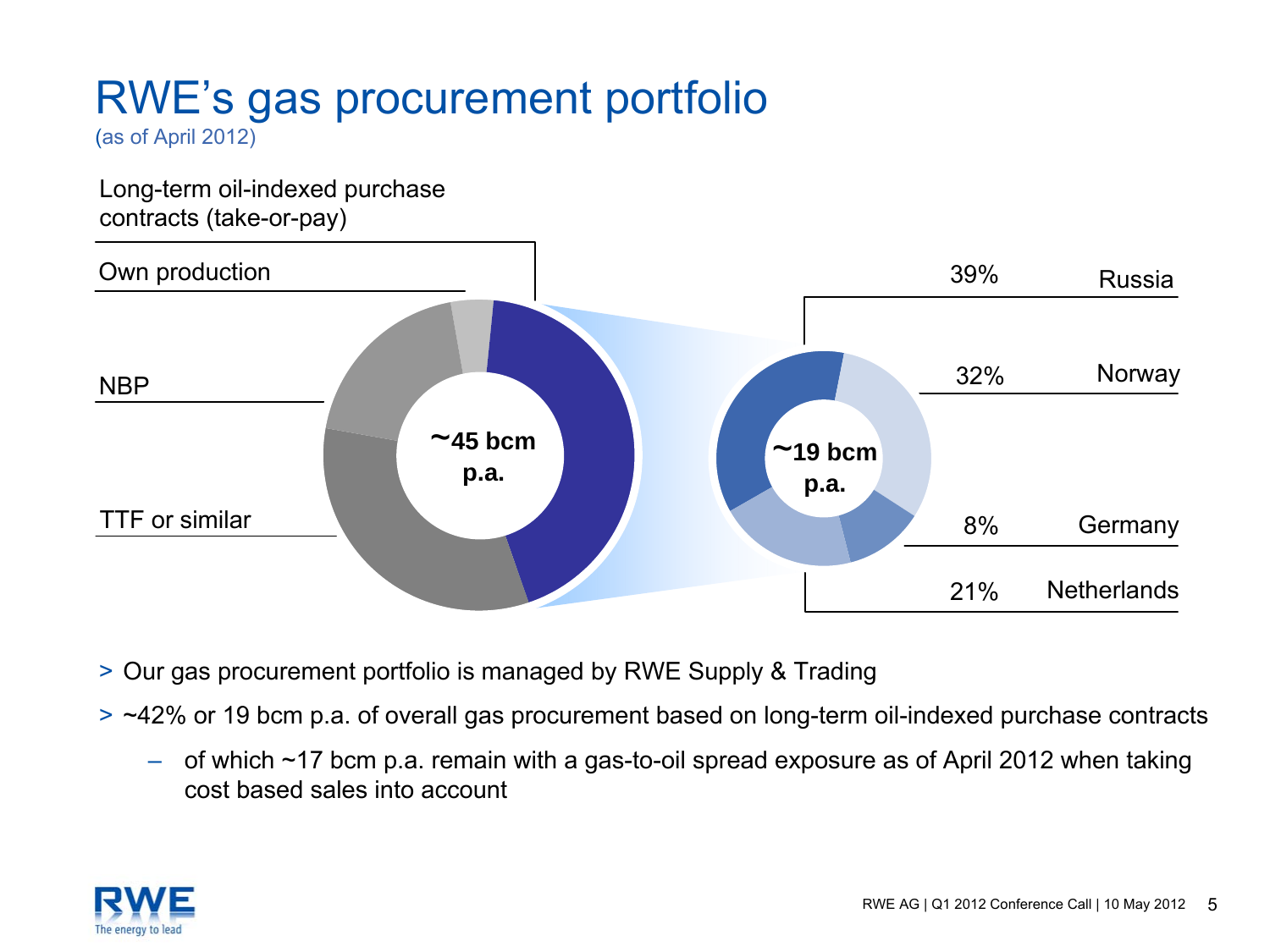## RWE's gas procurement portfolio

(as of April 2012)

Long-term oil-indexed purchase contracts (take-or-pay)



- > Our gas procurement portfolio is managed by RWE Supply & Trading
- > ~42% or 19 bcm p.a. of overall gas procurement based on long-term oil-indexed purchase contracts
	- – of which ~17 bcm p.a. remain with a gas-to-oil spread exposure as of April 2012 when taking cost based sales into account

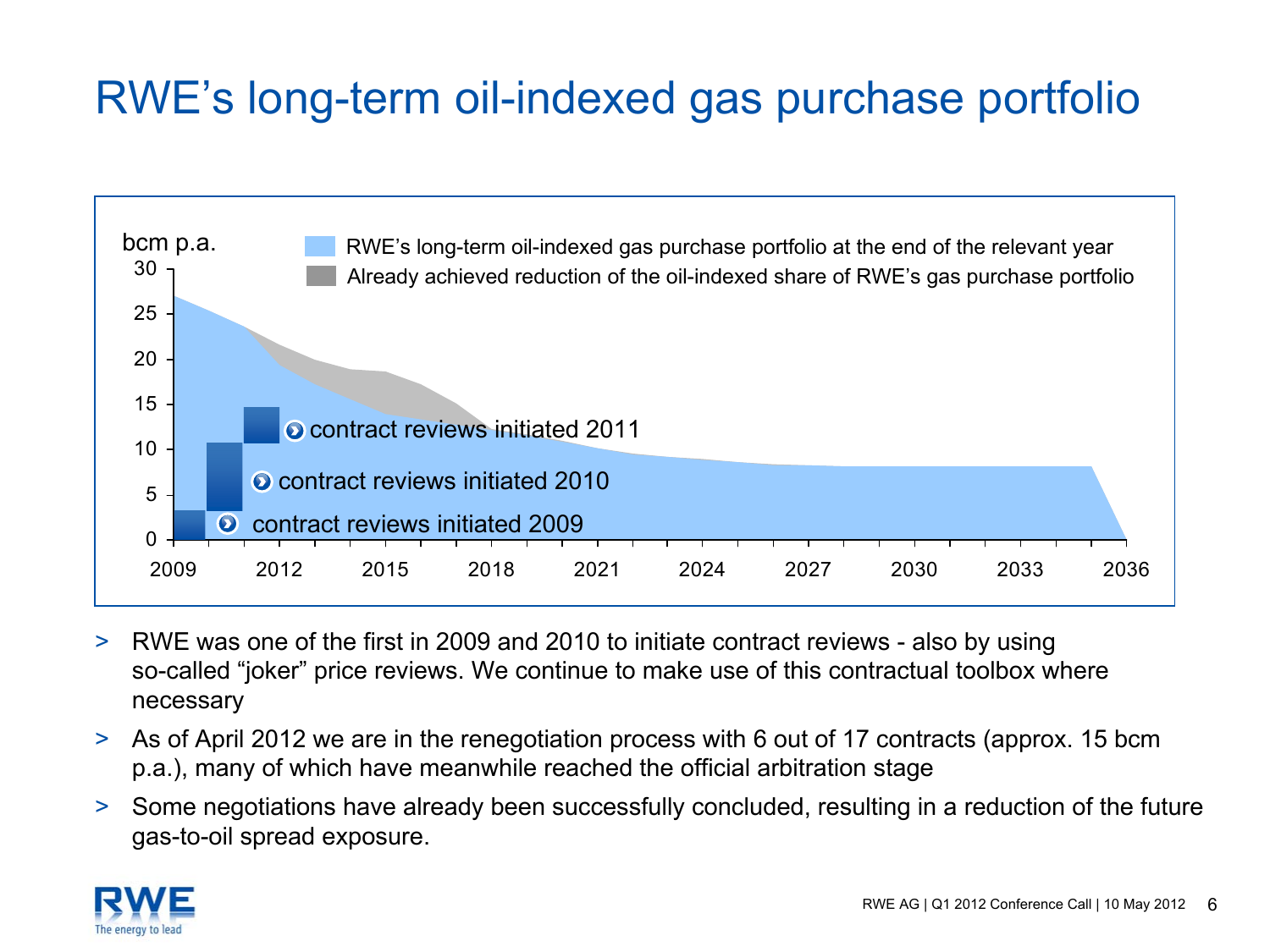### RWE's long-term oil-indexed gas purchase portfolio



- > RWE was one of the first in 2009 and 2010 to initiate contract reviews also by using so-called "joker" price reviews. We continue to make use of this contractual toolbox where necessary
- > As of April 2012 we are in the renegotiation process with 6 out of 17 contracts (approx. 15 bcm p.a.), many of which have meanwhile reached the official arbitration stage
- $\geq$  Some negotiations have already been successfully concluded, resulting in a reduction of the future gas-to-oil spread exposure.

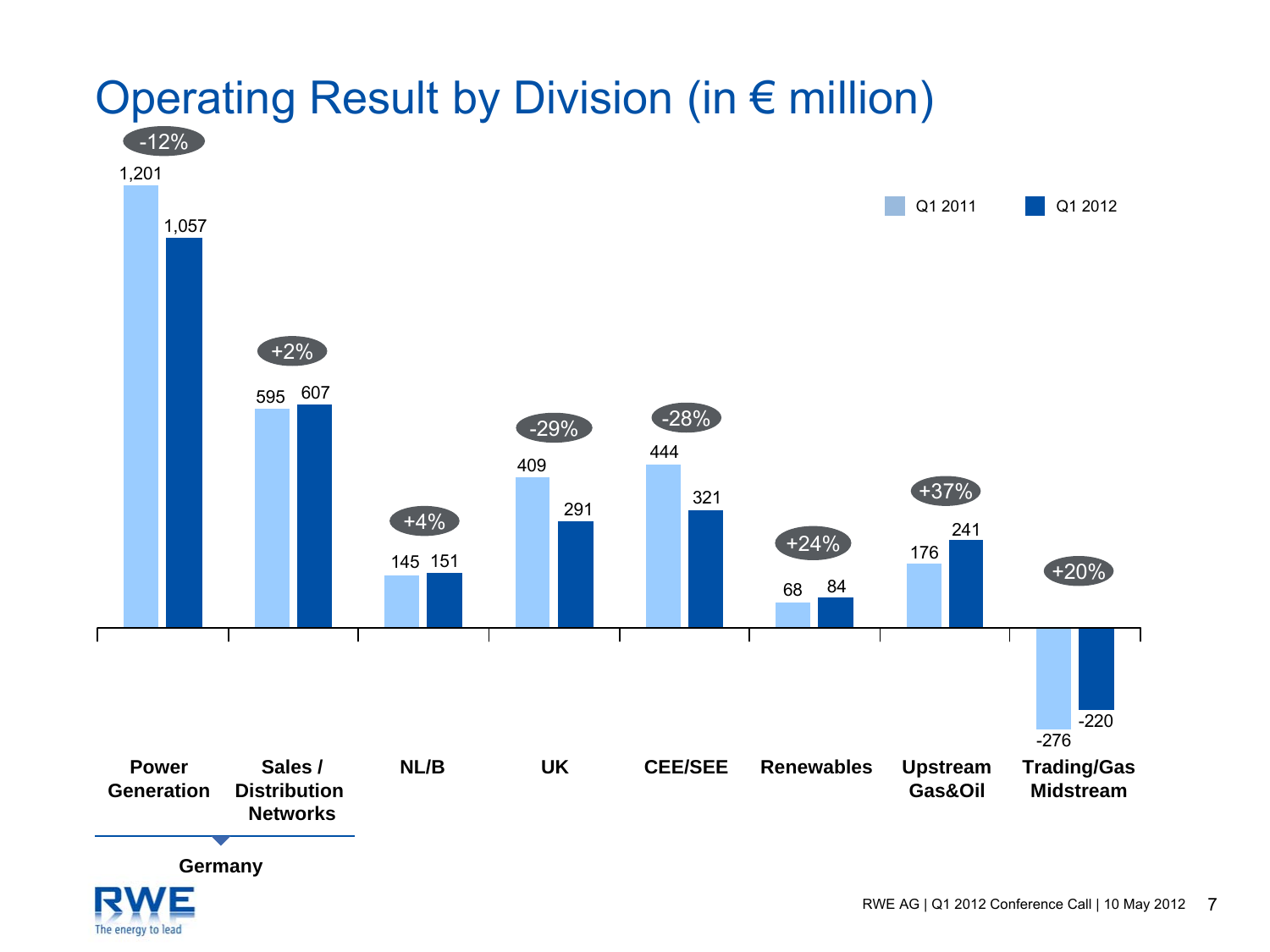

The energy to lead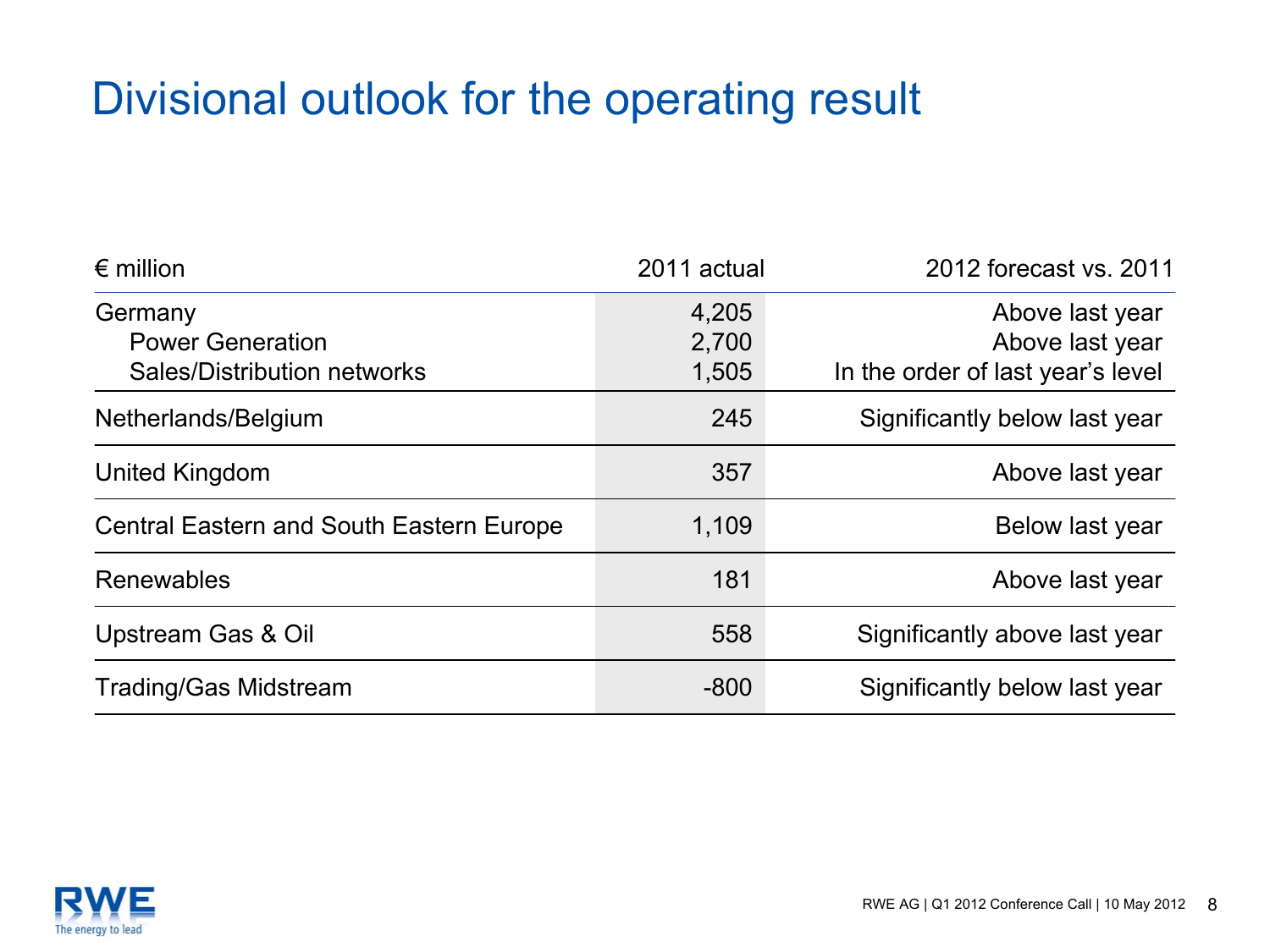#### Divisional outlook for the operating result

| $\epsilon$ million                                                | 2011 actual             | 2012 forecast vs. 2011                                                  |
|-------------------------------------------------------------------|-------------------------|-------------------------------------------------------------------------|
| Germany<br><b>Power Generation</b><br>Sales/Distribution networks | 4,205<br>2,700<br>1,505 | Above last year<br>Above last year<br>In the order of last year's level |
| Netherlands/Belgium                                               | 245                     | Significantly below last year                                           |
| United Kingdom                                                    | 357                     | Above last year                                                         |
| <b>Central Eastern and South Eastern Europe</b>                   | 1,109                   | Below last year                                                         |
| Renewables                                                        | 181                     | Above last year                                                         |
| Upstream Gas & Oil                                                | 558                     | Significantly above last year                                           |
| <b>Trading/Gas Midstream</b>                                      | $-800$                  | Significantly below last year                                           |

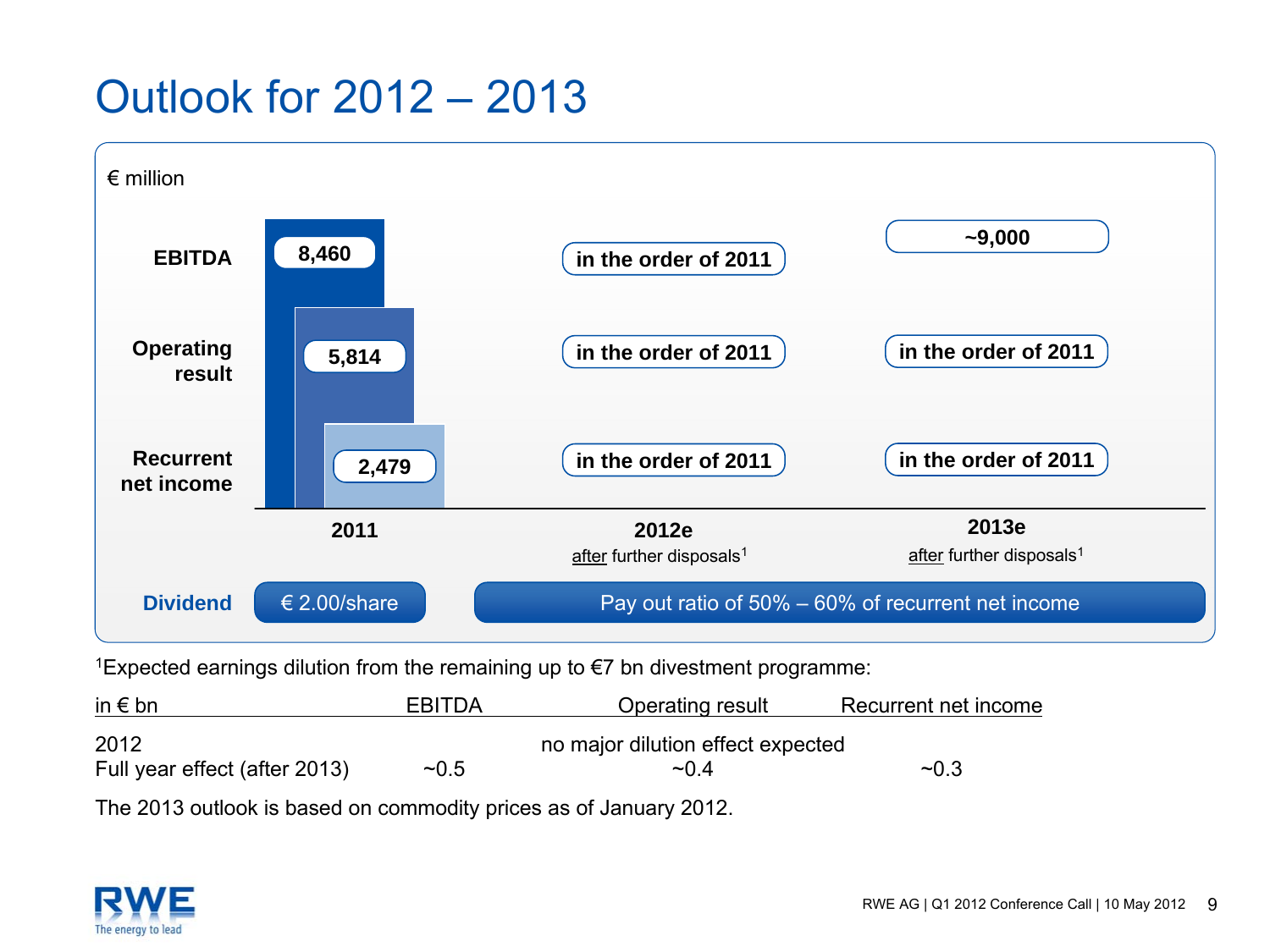#### Outlook for 2012 – 2013



<sup>1</sup>Expected earnings dilution from the remaining up to €7 bn divestment programme:

| in $\epsilon$ bn              | EBITDA | Operating result                  | Recurrent net income |
|-------------------------------|--------|-----------------------------------|----------------------|
| 2012                          |        | no major dilution effect expected |                      |
| Full year effect (after 2013) | ~10.5  | $\sim$ 0.4                        | ~10.3                |

The 2013 outlook is based on commodity prices as of January 2012.

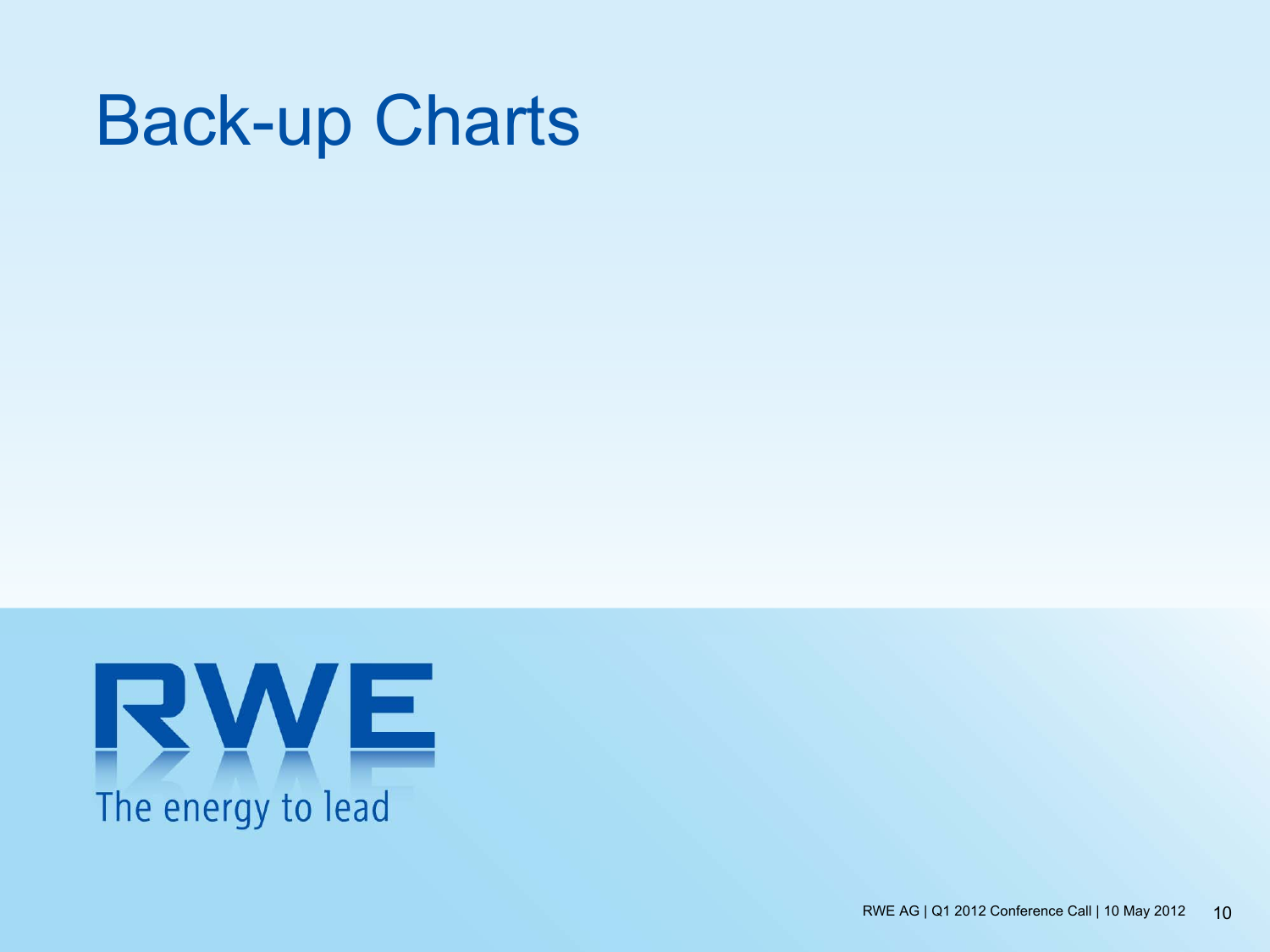# Back-up Charts

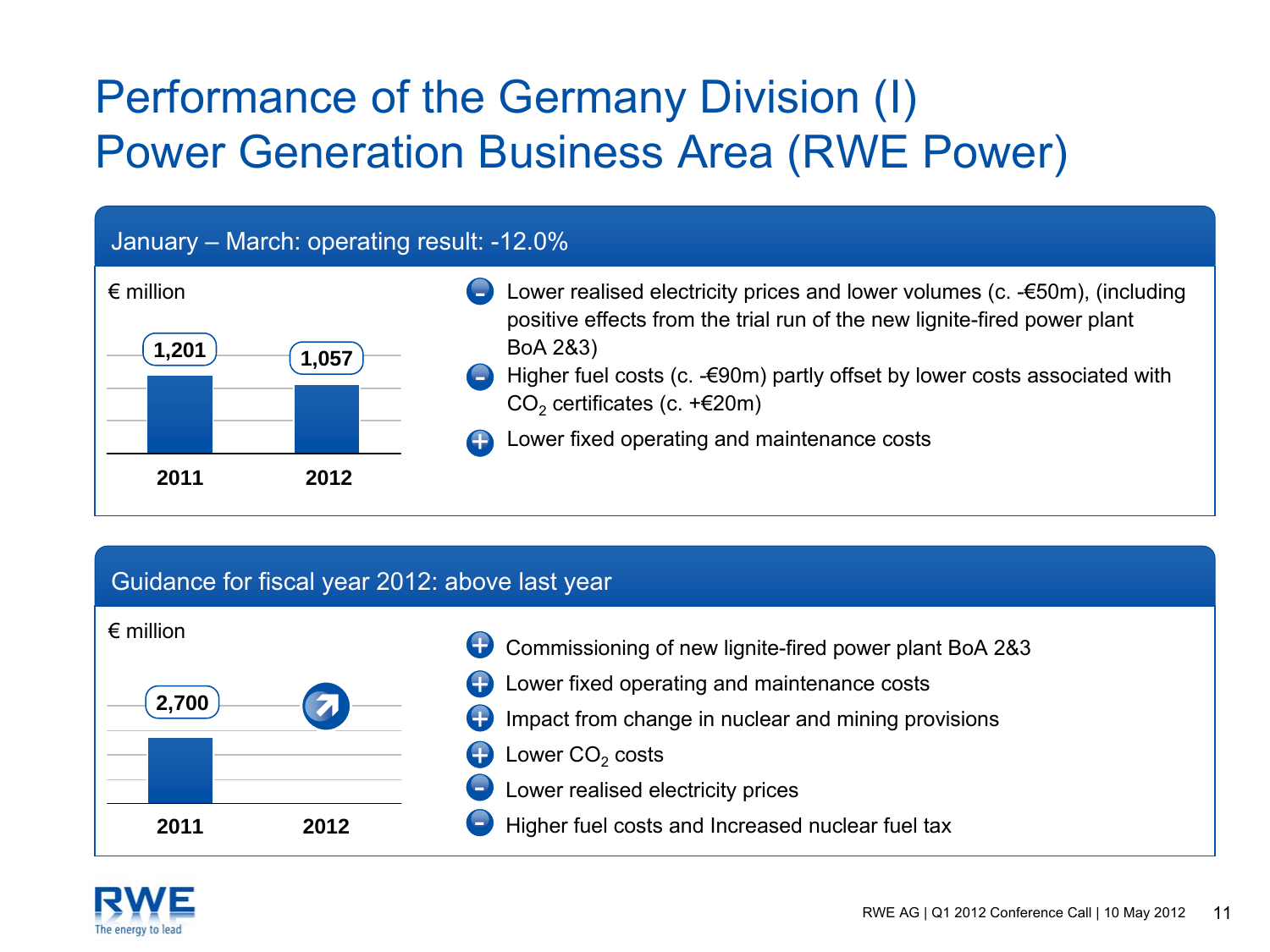### Performance of the Germany Division (I) Power Generation Business Area (RWE Power)

#### January – March: operating result: -12.0%



#### Guidance for fiscal year 2012: above last year



- Commissioning of new lignite-fired power plant BoA 2&3 +
- Lower fixed operating and maintenance costs +
- Impact from change in nuclear and mining provisions +
- Lower CO $_{\rm 2}$  costs +
- Lower realised electricity prices
- Higher fuel costs and Increased nuclear fuel tax -

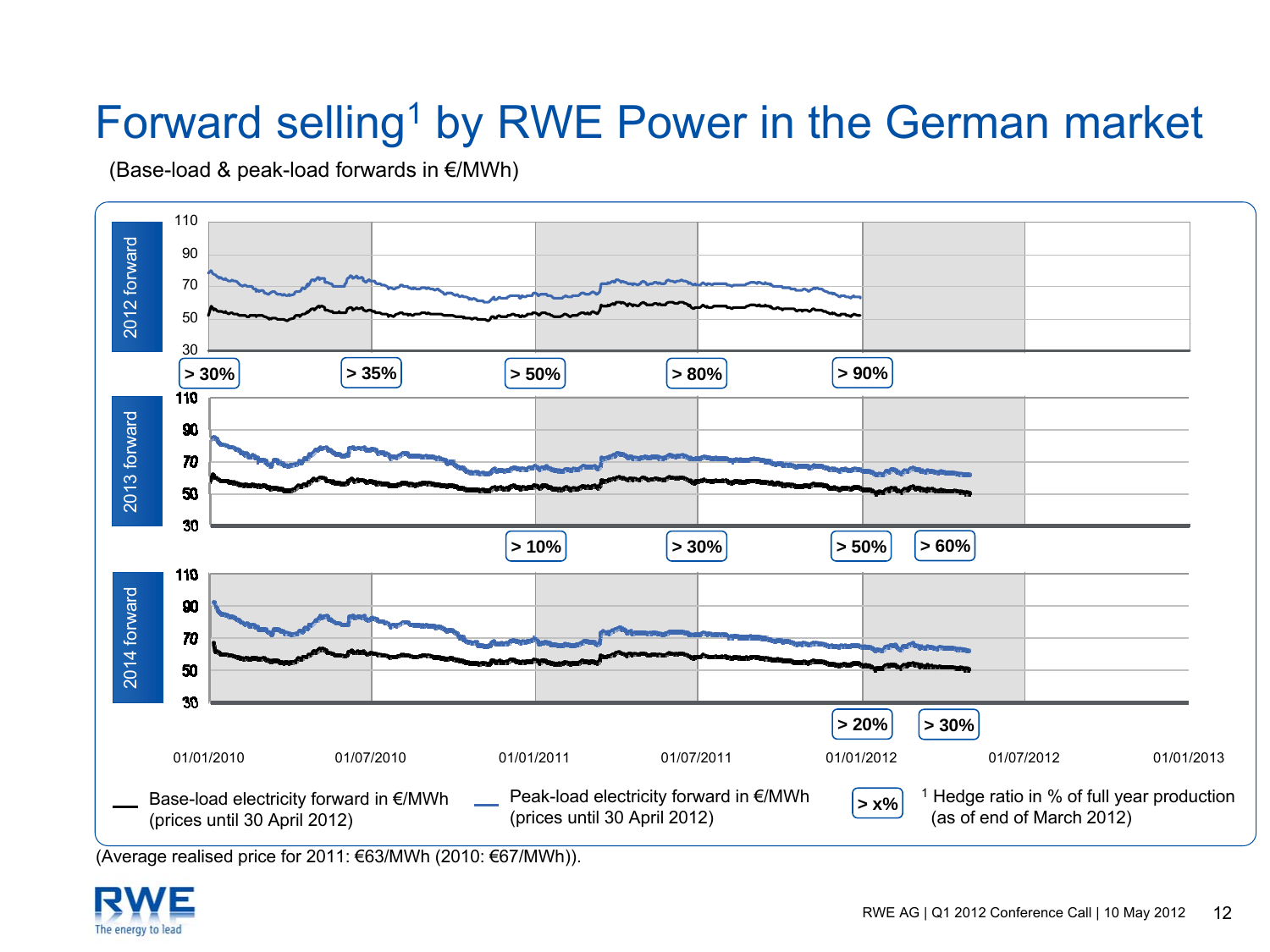### Forward selling<sup>1</sup> by RWE Power in the German market

(Base-load & peak-load forwards in €/MWh)



(Average realised price for 2011: €63/MWh (2010: €67/MWh)).

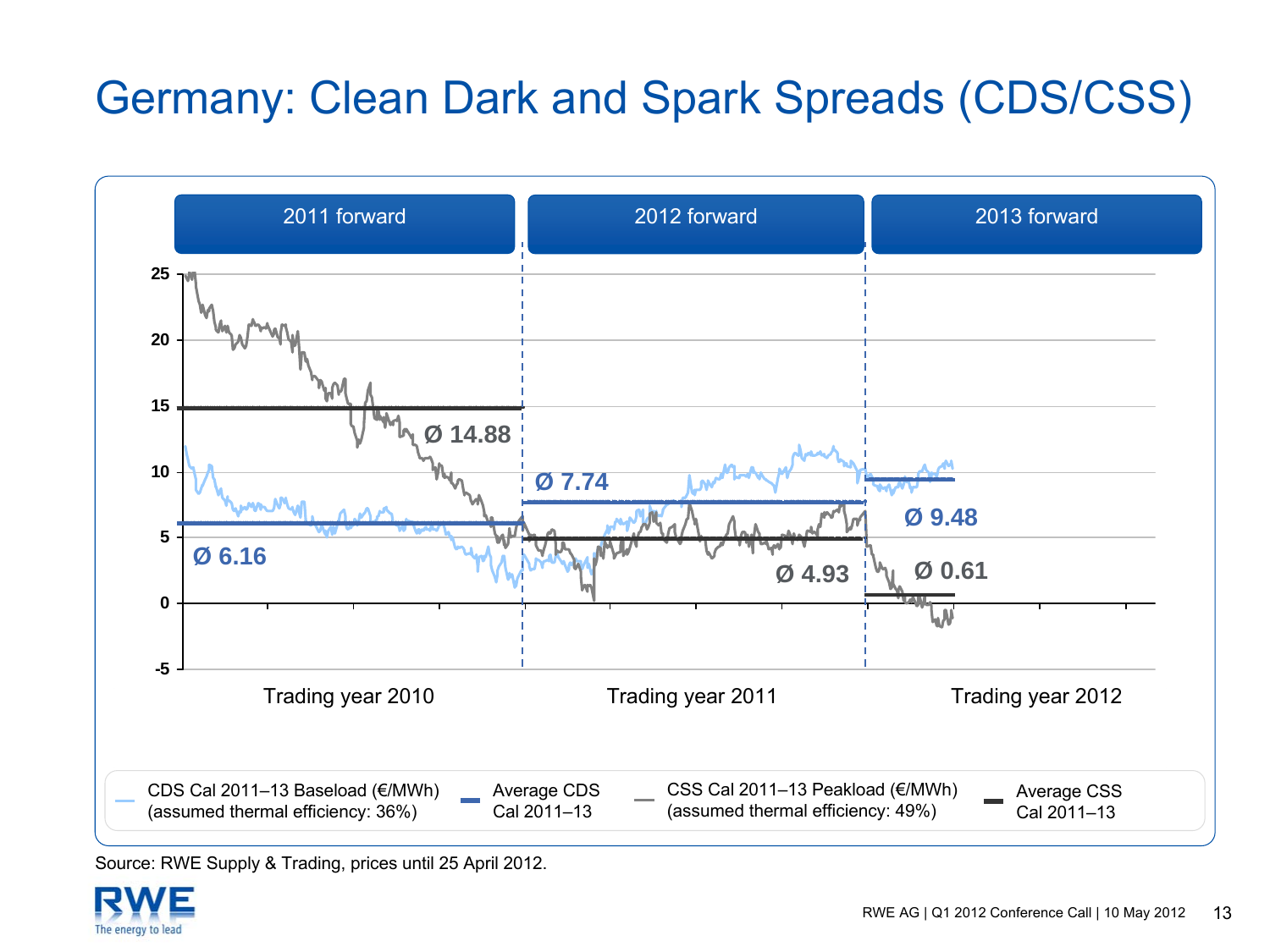### Germany: Clean Dark and Spark Spreads (CDS/CSS)



Source: RWE Supply & Trading, prices until 25 April 2012.

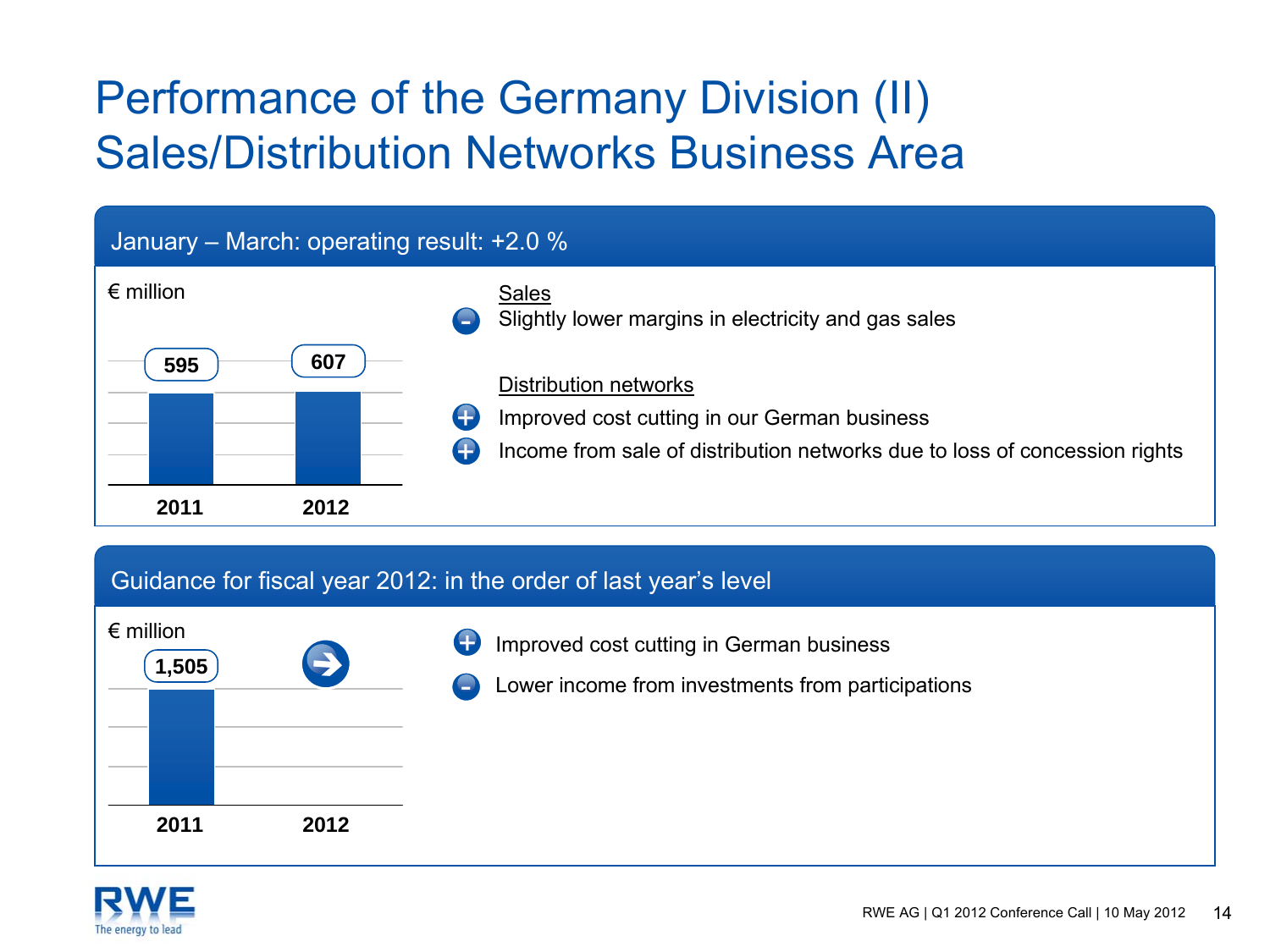### Performance of the Germany Division (II) Sales/Distribution Networks Business Area



#### Guidance for fiscal year 2012: in the order of last year's level



- Improved cost cutting in German business +
	- Lower income from investments from participations

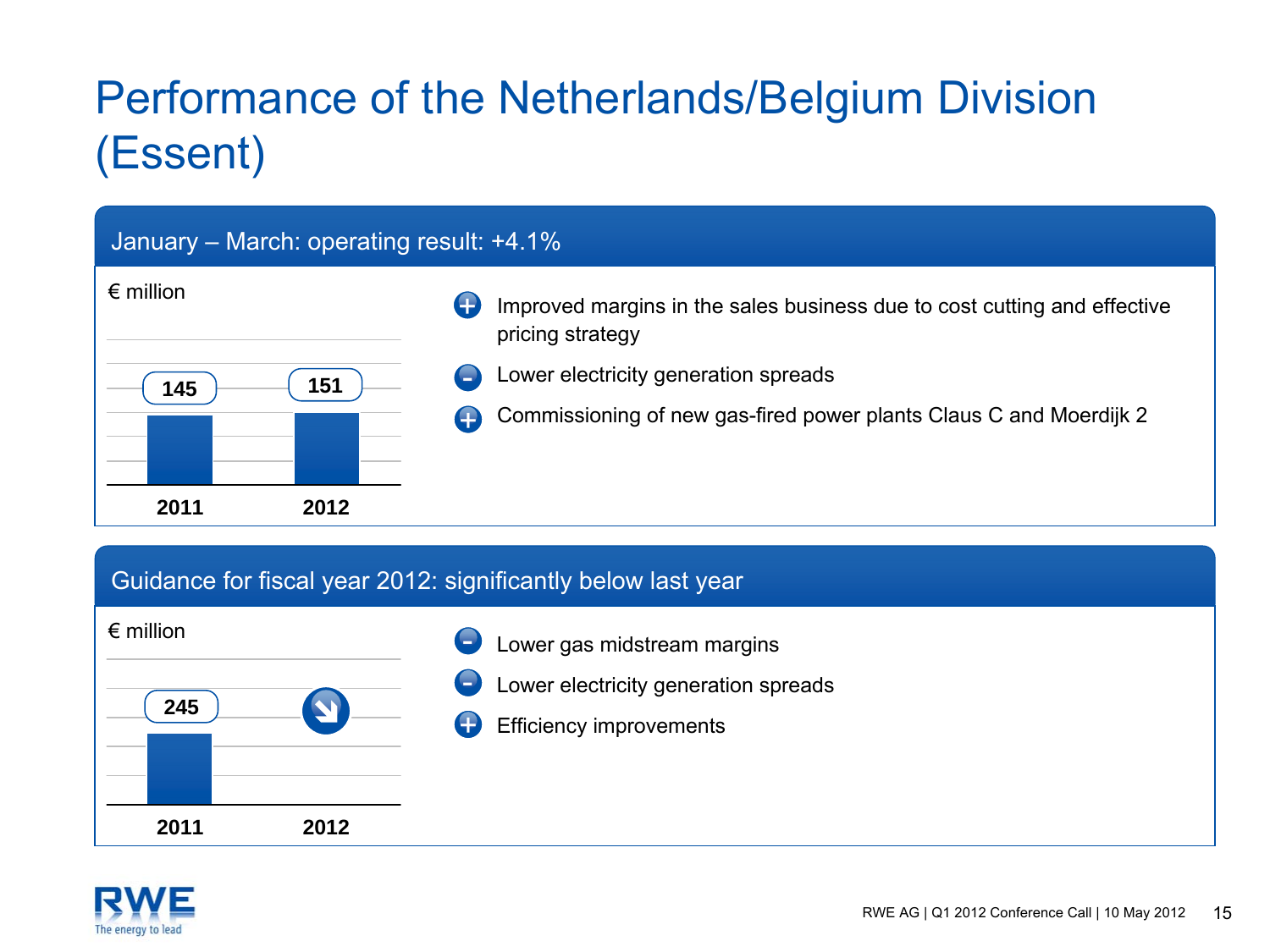### Performance of the Netherlands/Belgium Division (Essent)

#### January – March: operating result: +4.1% € million**2011145 151 2012**Improved margins in the sales business due to cost cutting and effective pricing strategy Lower electricity generation spreads + Commissioning of new gas-fired power plants Claus C and Moerdijk <sup>2</sup> +

#### Guidance for fiscal year 2012: significantly below last year



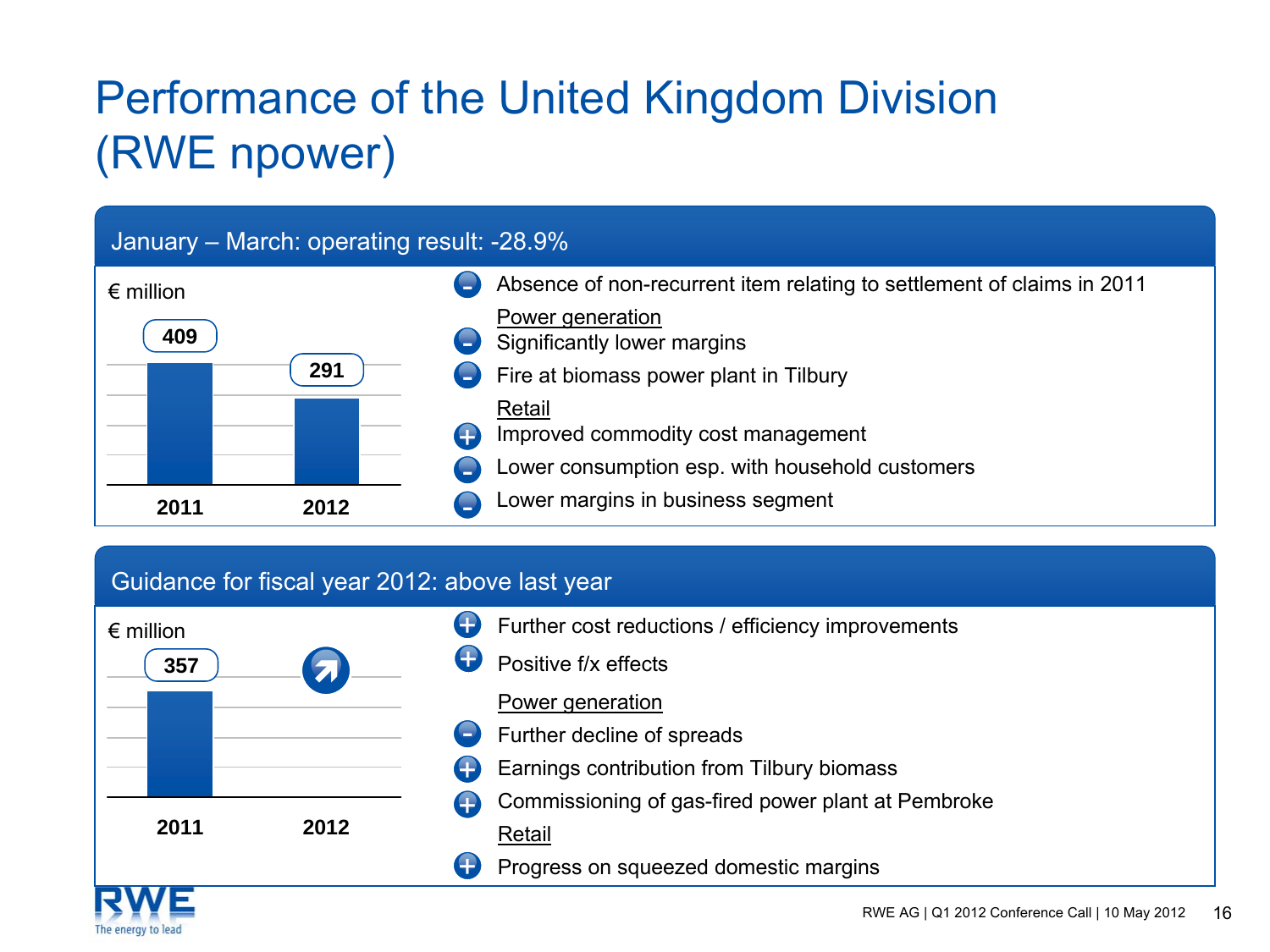### Performance of the United Kingdom Division (RWE npower)

#### January – March: operating result: -28.9%



#### Guidance for fiscal year 2012: above last year

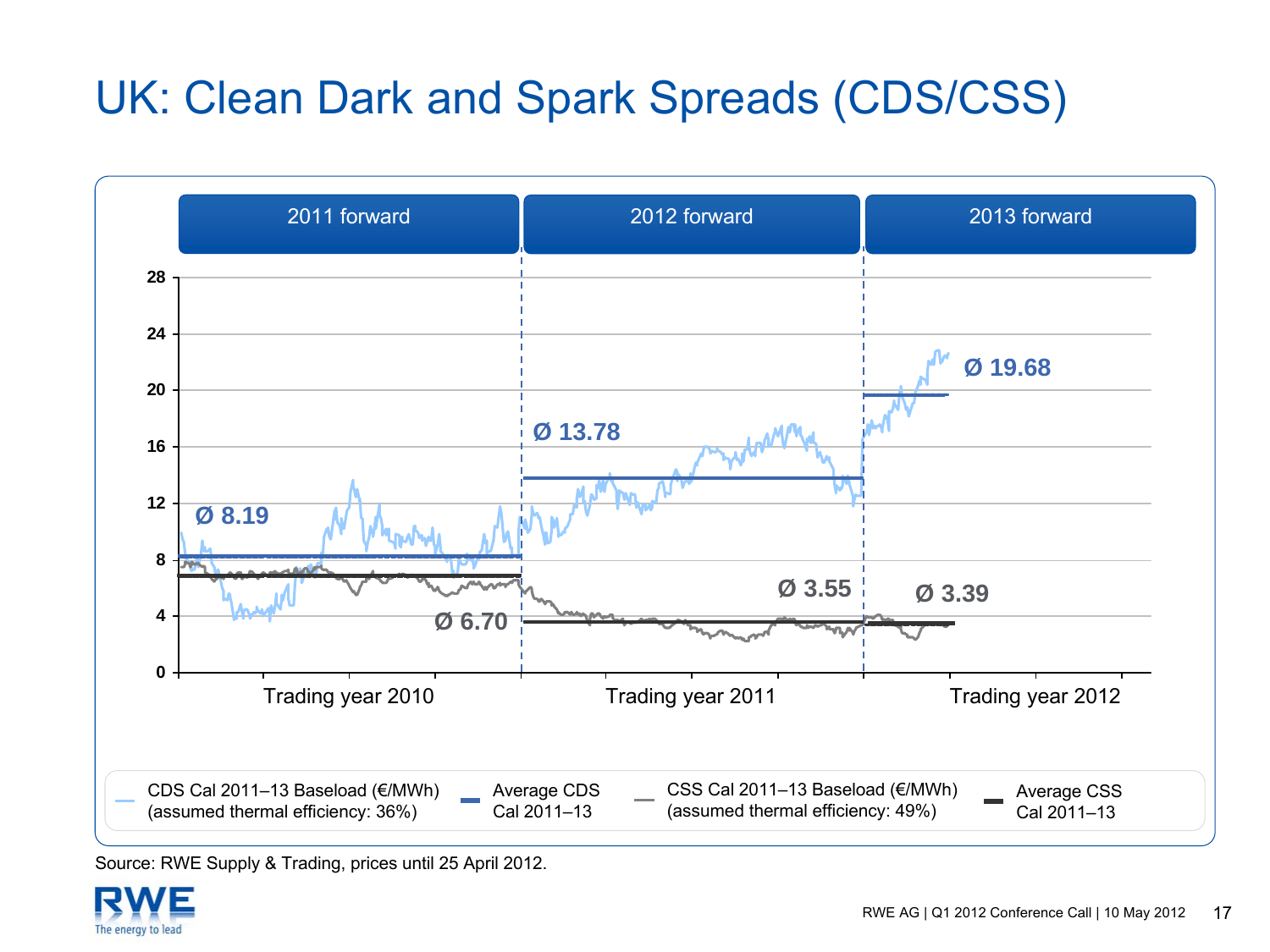### UK: Clean Dark and Spark Spreads (CDS/CSS)



Source: RWE Supply & Trading, prices until 25 April 2012.

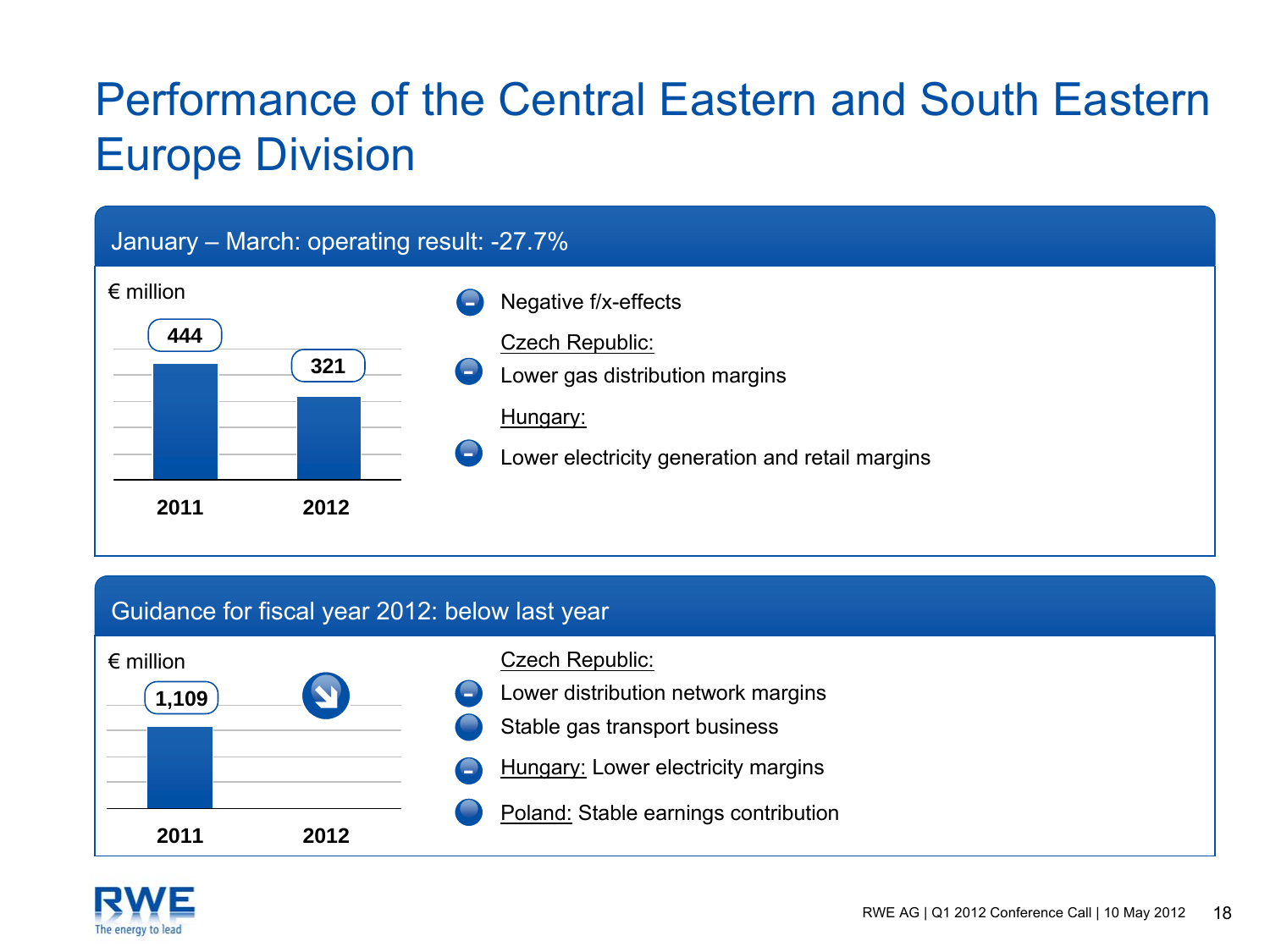### Performance of the Central Eastern and South Eastern Europe Division



#### Guidance for fiscal year 2012: below last year



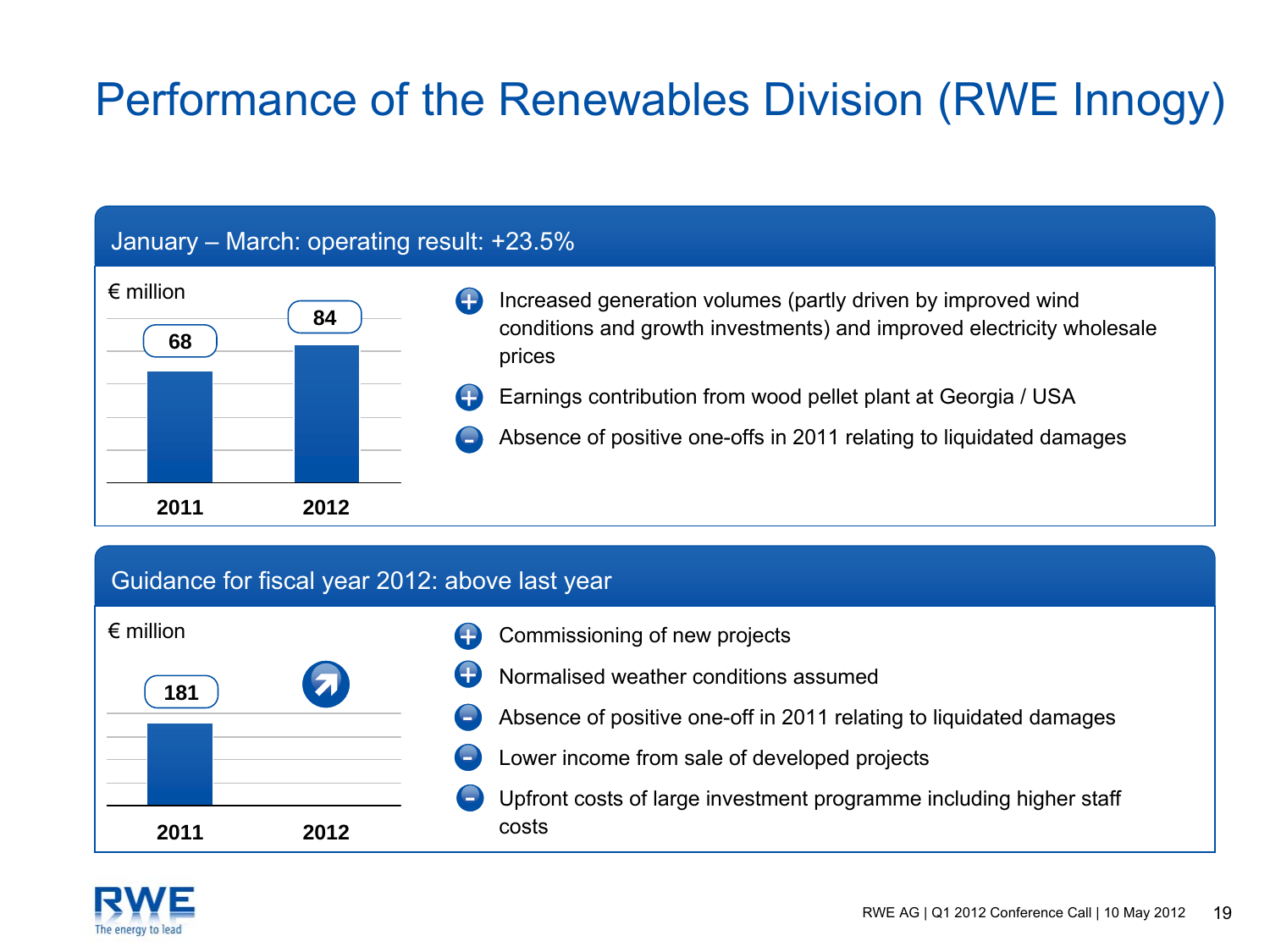### Performance of the Renewables Division (RWE Innogy)

#### January – March: operating result: +23.5%



- Increased generation volumes (partly driven by improved wind conditions and growth investments) and improved electricity wholesale
- Earnings contribution from wood pellet plant at Georgia / USA
- Absence of positive one-offs in 2011 relating to liquidated damages

#### Guidance for fiscal year 2012: above last year

| $\epsilon$ million |            |
|--------------------|------------|
| 181                | $\sqrt{2}$ |
|                    |            |
|                    |            |
| 2011               | 2012       |

- Commissioning of new projects +
- Normalised weather conditions assumed+
- Absence of positive one-off in 2011 relating to liquidated damages
- Lower income from sale of developed projects
- Upfront costs of large investment programme including higher staff costs

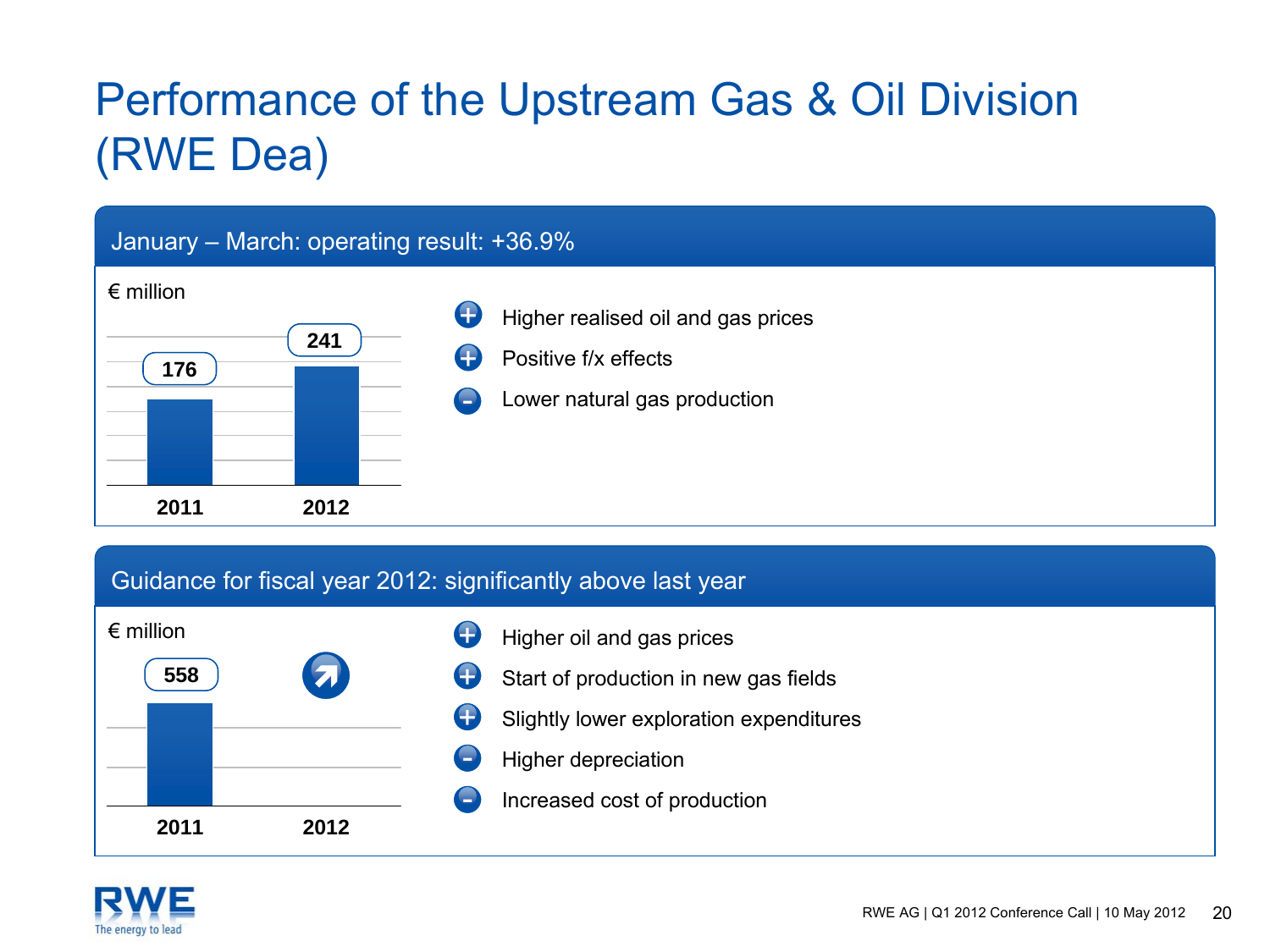### Performance of the Upstream Gas & Oil Division (RWE Dea)



#### Guidance for fiscal year 2012: significantly above last year



- Higher oil and gas prices +
- Start of production in new gas fields +
- Slightly lower exploration expenditures +
	- Higher depreciation
	- Increased cost of production

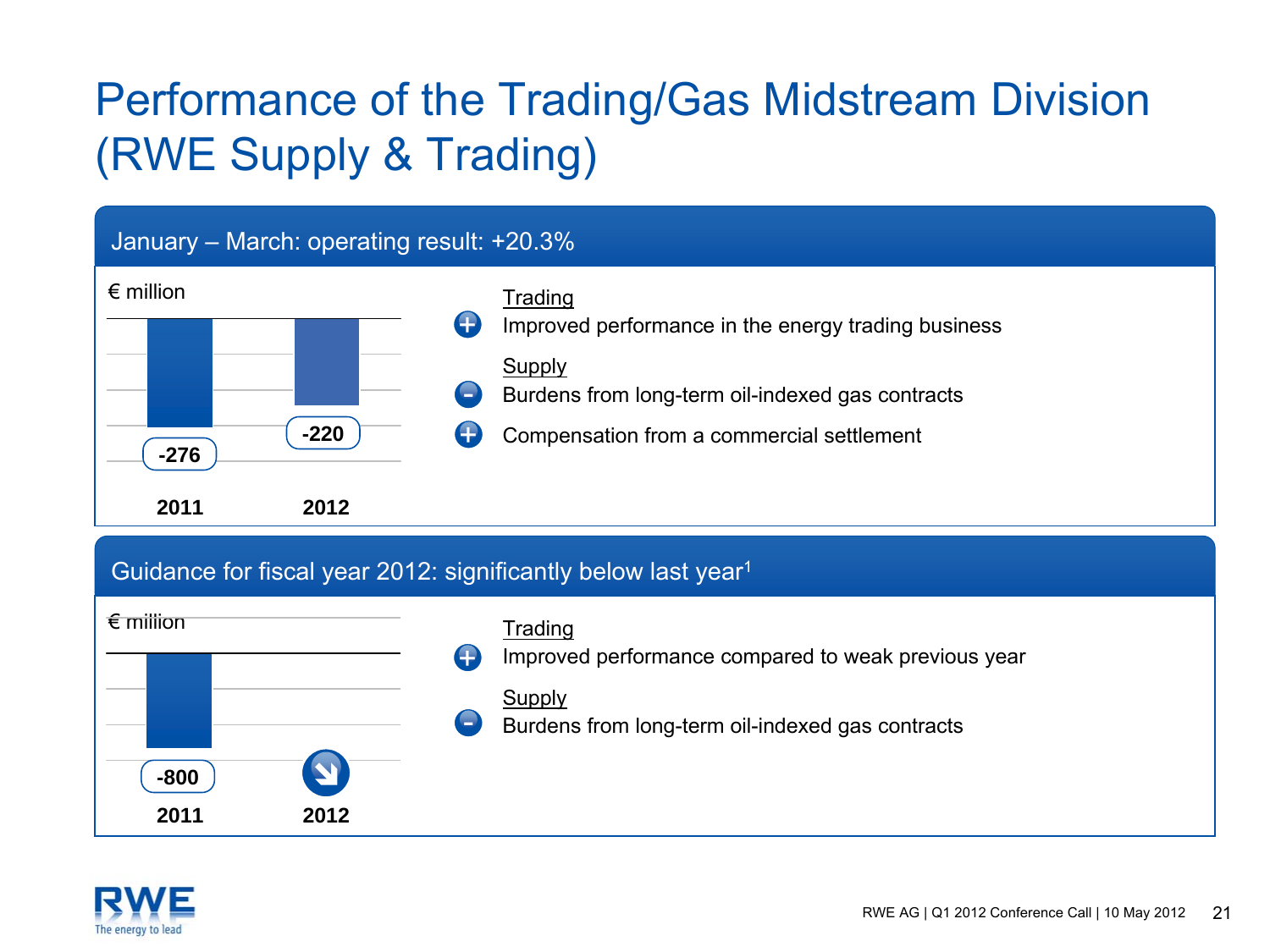## Performance of the Trading/Gas Midstream Division (RWE Supply & Trading)



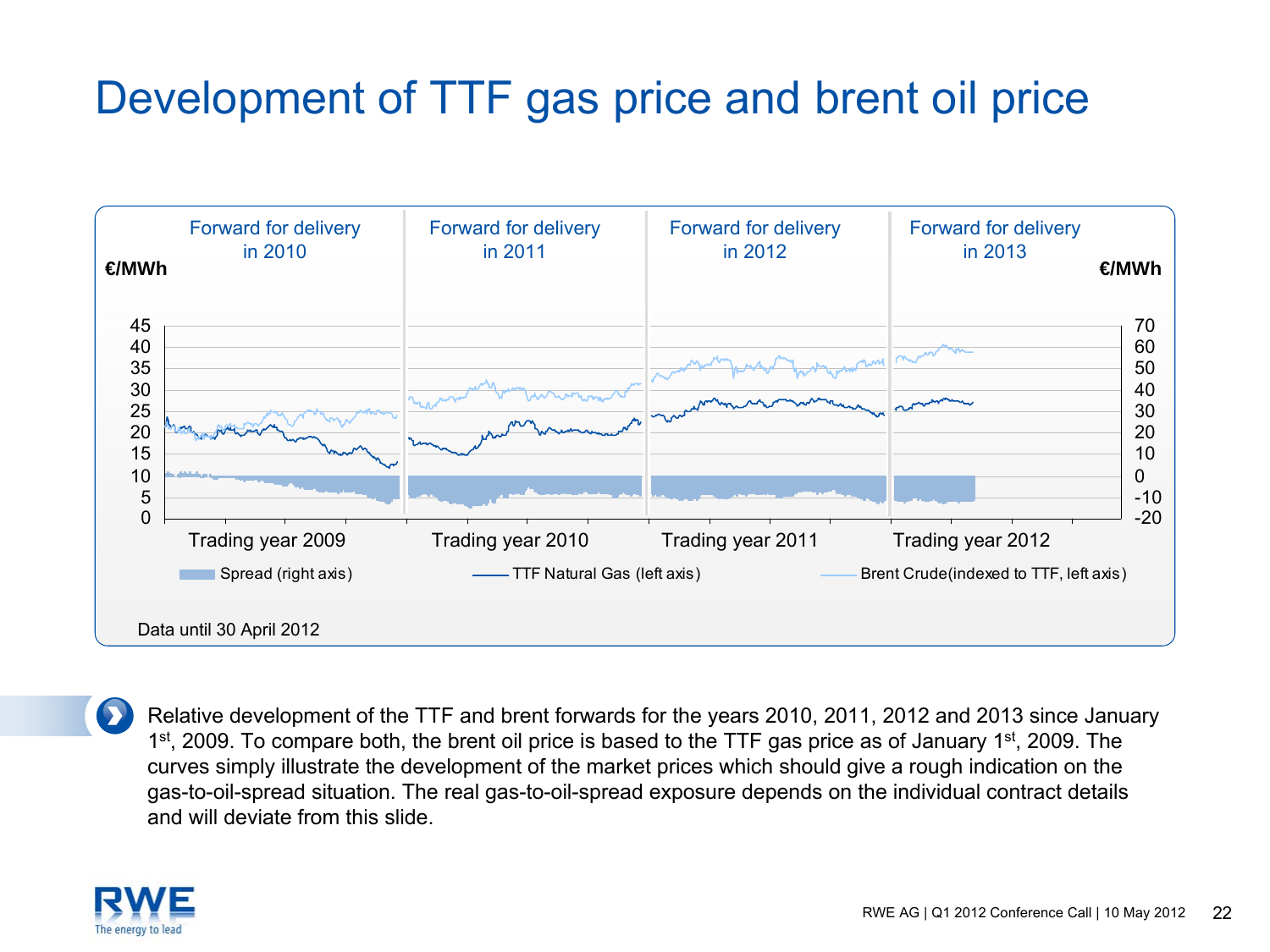#### Development of TTF gas price and brent oil price



 $\bullet$ Relative development of the TTF and brent forwards for the years 2010, 2011, 2012 and 2013 since January 1<sup>st</sup>, 2009. To compare both, the brent oil price is based to the TTF gas price as of January 1<sup>st</sup>, 2009. The curves simply illustrate the development of the market prices which should give a rough indication on the gas-to-oil-spread situation. The real gas-to-oil-spread exposure depends on the individual contract details and will deviate from this slide.

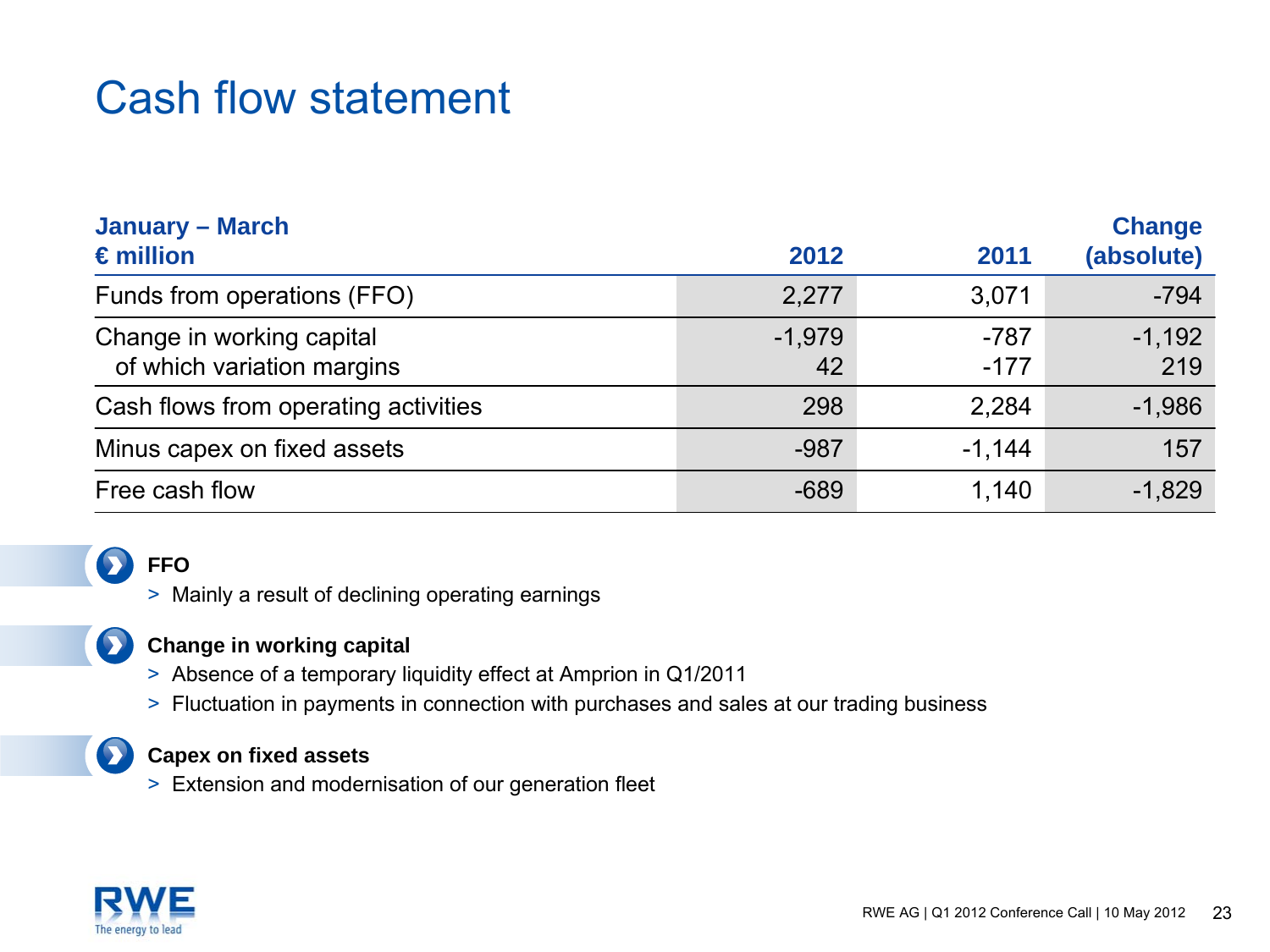#### Cash flow statement

| <b>January – March</b><br>$\epsilon$ million            | 2012           | 2011             | <b>Change</b><br>(absolute) |
|---------------------------------------------------------|----------------|------------------|-----------------------------|
| Funds from operations (FFO)                             | 2,277          | 3,071            | $-794$                      |
| Change in working capital<br>of which variation margins | $-1,979$<br>42 | $-787$<br>$-177$ | $-1,192$<br>219             |
| Cash flows from operating activities                    | 298            | 2,284            | $-1,986$                    |
| Minus capex on fixed assets                             | $-987$         | $-1,144$         | 157                         |
| Free cash flow                                          | $-689$         | 1,140            | $-1,829$                    |

#### **FFO**

> Mainly a result of declining operating earnings



 $\bullet$ 

#### **Change in working capital**

- > Absence of a temporary liquidity effect at Amprion in Q1/2011
- > Fluctuation in payments in connection with purchases and sales at our trading business

#### **Capex on fixed assets**

> Extension and modernisation of our generation fleet

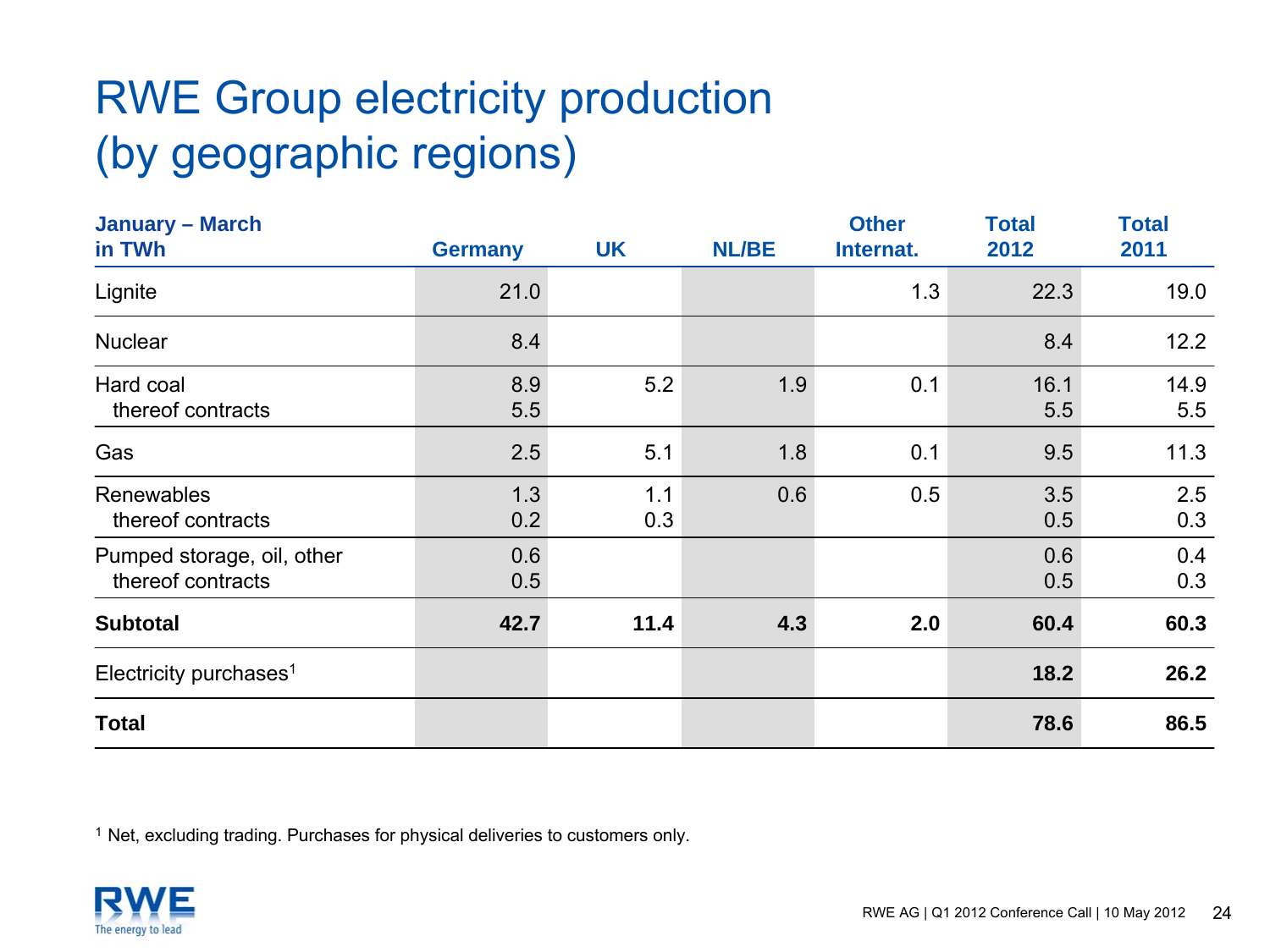### RWE Group electricity production (by geographic regions)

| <b>January - March</b><br>in TWh                | <b>Germany</b> | <b>UK</b>  | <b>NL/BE</b> | <b>Other</b><br>Internat. | <b>Total</b><br>2012 | <b>Total</b><br>2011 |
|-------------------------------------------------|----------------|------------|--------------|---------------------------|----------------------|----------------------|
| Lignite                                         | 21.0           |            |              | 1.3                       | 22.3                 | 19.0                 |
| <b>Nuclear</b>                                  | 8.4            |            |              |                           | 8.4                  | 12.2                 |
| Hard coal<br>thereof contracts                  | 8.9<br>5.5     | 5.2        | 1.9          | 0.1                       | 16.1<br>5.5          | 14.9<br>5.5          |
| Gas                                             | 2.5            | 5.1        | 1.8          | 0.1                       | 9.5                  | 11.3                 |
| Renewables<br>thereof contracts                 | 1.3<br>0.2     | 1.1<br>0.3 | 0.6          | 0.5                       | 3.5<br>0.5           | 2.5<br>0.3           |
| Pumped storage, oil, other<br>thereof contracts | 0.6<br>0.5     |            |              |                           | 0.6<br>0.5           | 0.4<br>0.3           |
| <b>Subtotal</b>                                 | 42.7           | 11.4       | 4.3          | 2.0                       | 60.4                 | 60.3                 |
| Electricity purchases <sup>1</sup>              |                |            |              |                           | 18.2                 | 26.2                 |
| <b>Total</b>                                    |                |            |              |                           | 78.6                 | 86.5                 |

<sup>1</sup> Net, excluding trading. Purchases for physical deliveries to customers only.

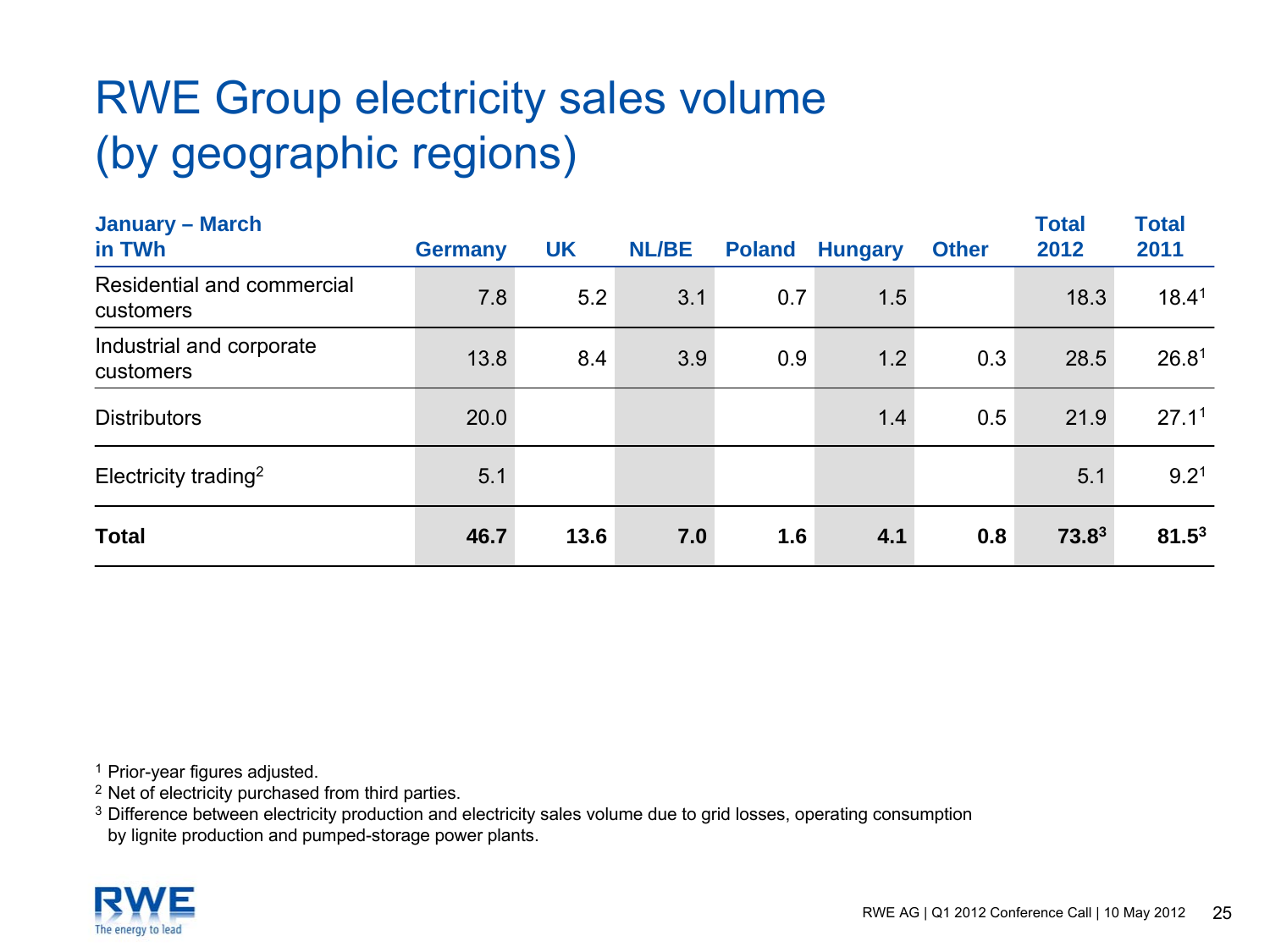### RWE Group electricity sales volume (by geographic regions)

| <b>January – March</b><br>in TWh        | <b>Germany</b> | <b>UK</b> | <b>NL/BE</b> | <b>Poland</b> | <b>Hungary</b> | <b>Other</b> | <b>Total</b><br>2012 | <b>Total</b><br>2011 |
|-----------------------------------------|----------------|-----------|--------------|---------------|----------------|--------------|----------------------|----------------------|
| Residential and commercial<br>customers | 7.8            | 5.2       | 3.1          | 0.7           | 1.5            |              | 18.3                 | 18.41                |
| Industrial and corporate<br>customers   | 13.8           | 8.4       | 3.9          | 0.9           | 1.2            | 0.3          | 28.5                 | 26.8 <sup>1</sup>    |
| <b>Distributors</b>                     | 20.0           |           |              |               | 1.4            | 0.5          | 21.9                 | 27.1 <sup>1</sup>    |
| Electricity trading <sup>2</sup>        | 5.1            |           |              |               |                |              | 5.1                  | 9.2 <sup>1</sup>     |
| <b>Total</b>                            | 46.7           | 13.6      | 7.0          | 1.6           | 4.1            | 0.8          | $73.8^3$             | $81.5^3$             |

<sup>1</sup> Prior-year figures adjusted.

 $2$  Net of electricity purchased from third parties.

 $3$  Difference between electricity production and electricity sales volume due to grid losses, operating consumption by lignite production and pumped-storage power plants.

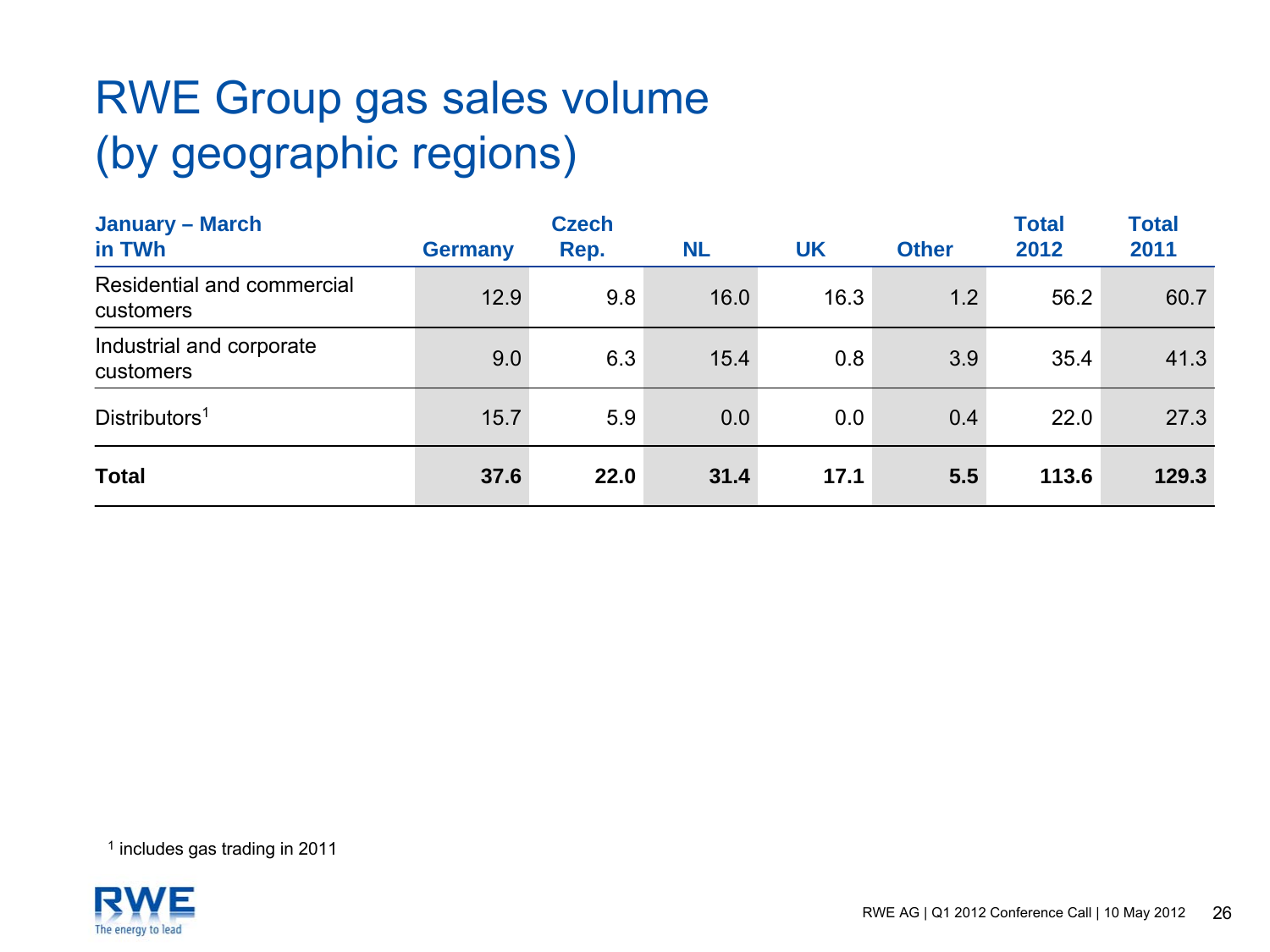### RWE Group gas sales volume (by geographic regions)

| <b>January - March</b><br>in TWh        | <b>Germany</b> | <b>Czech</b><br>Rep. | <b>NL</b> | <b>UK</b> | <b>Other</b> | <b>Total</b><br>2012 | <b>Total</b><br>2011 |
|-----------------------------------------|----------------|----------------------|-----------|-----------|--------------|----------------------|----------------------|
| Residential and commercial<br>customers | 12.9           | 9.8                  | 16.0      | 16.3      | 1.2          | 56.2                 | 60.7                 |
| Industrial and corporate<br>customers   | 9.0            | 6.3                  | 15.4      | 0.8       | 3.9          | 35.4                 | 41.3                 |
| Distributors <sup>1</sup>               | 15.7           | 5.9                  | 0.0       | 0.0       | 0.4          | 22.0                 | 27.3                 |
| <b>Total</b>                            | 37.6           | 22.0                 | 31.4      | 17.1      | 5.5          | 113.6                | 129.3                |

1 includes gas trading in 2011

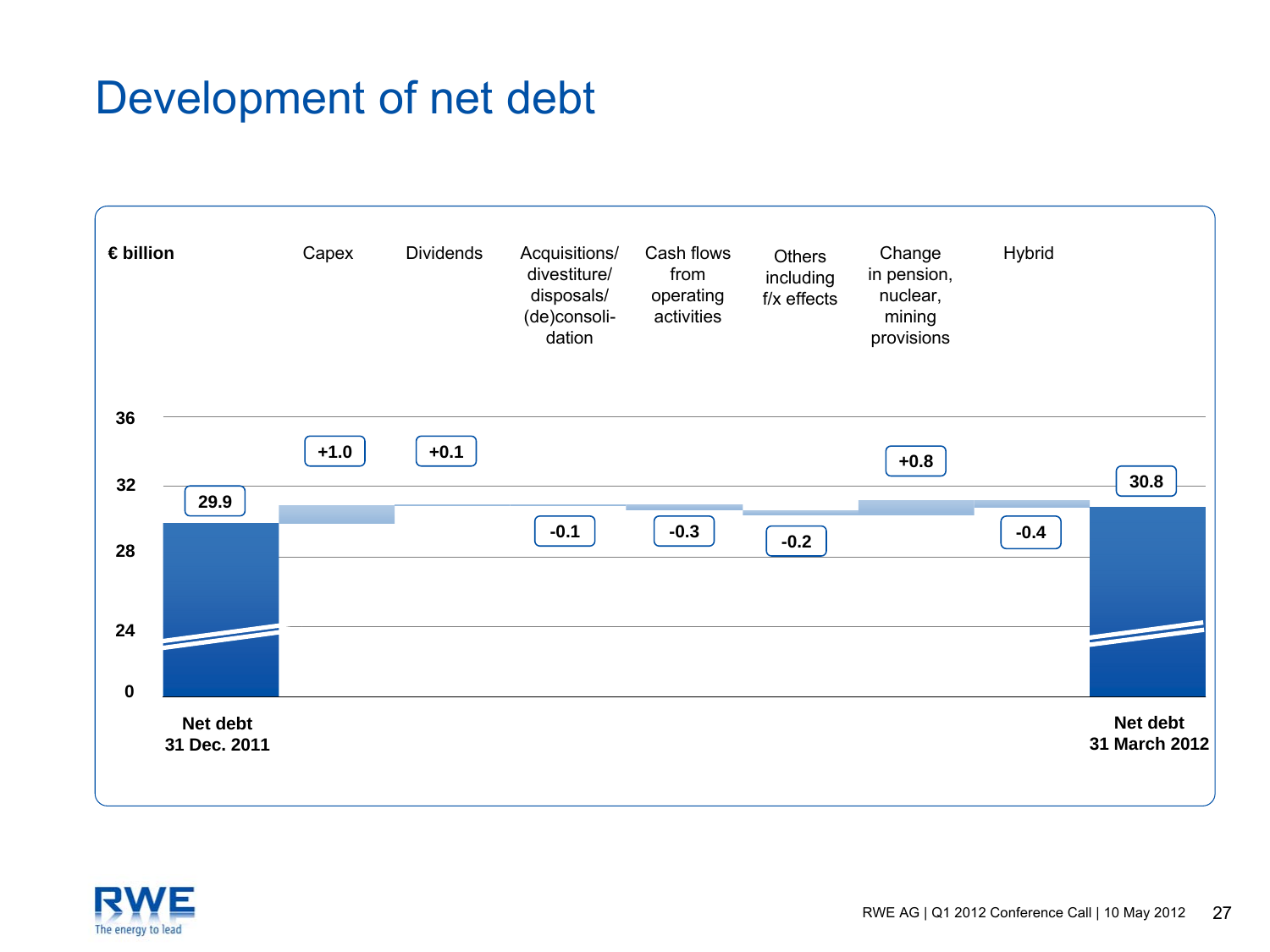#### Development of net debt



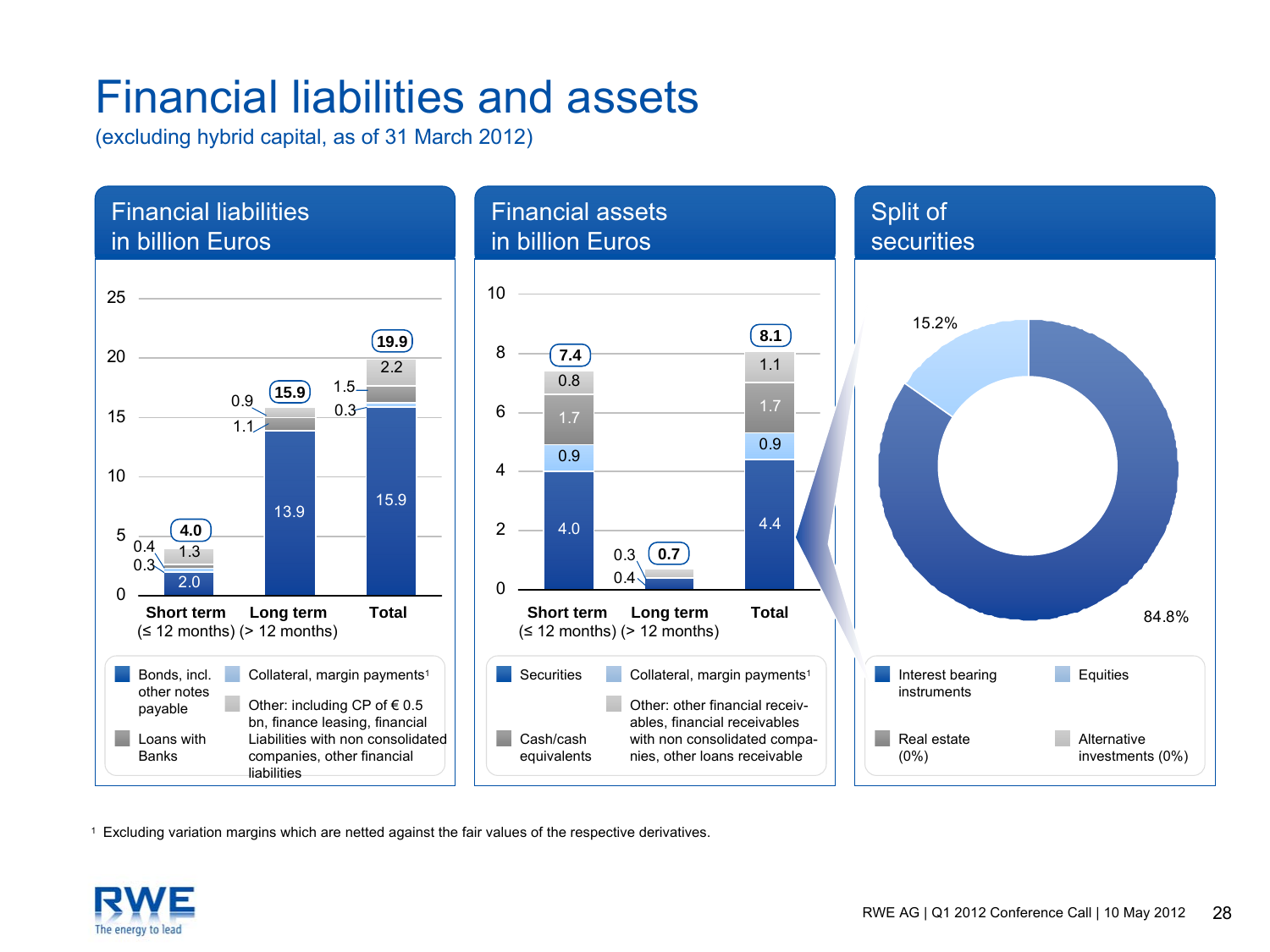#### Financial liabilities and assets

(excluding hybrid capital, as of 31 March 2012)



 $^1$  Excluding variation margins which are netted against the fair values of the respective derivatives.

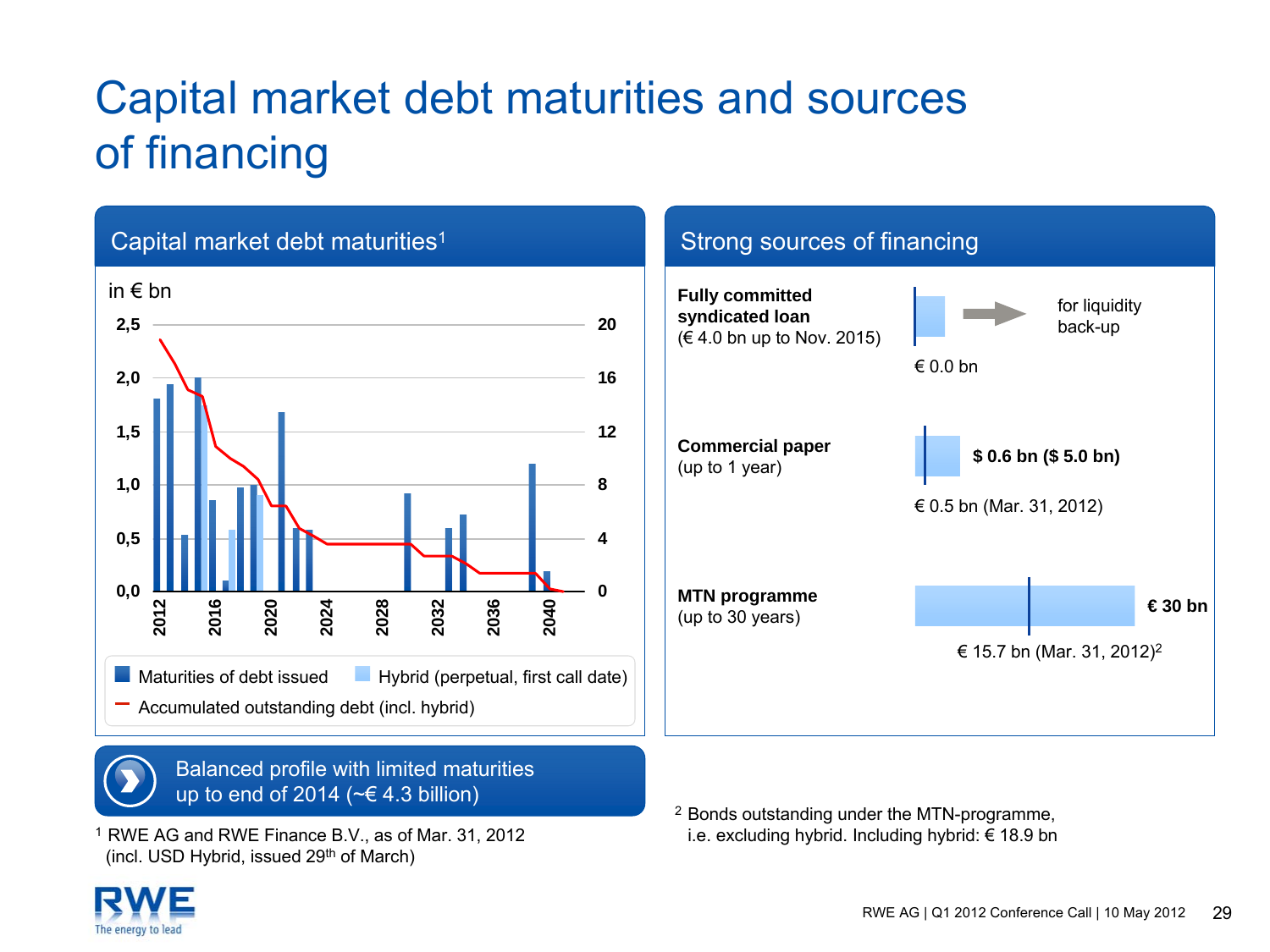### Capital market debt maturities and sources of financing



1 RWE AG and RWE Finance B.V., as of Mar. 31, 2012 (incl. USD Hybrid, issued 29<sup>th</sup> of March)

The energy to lead

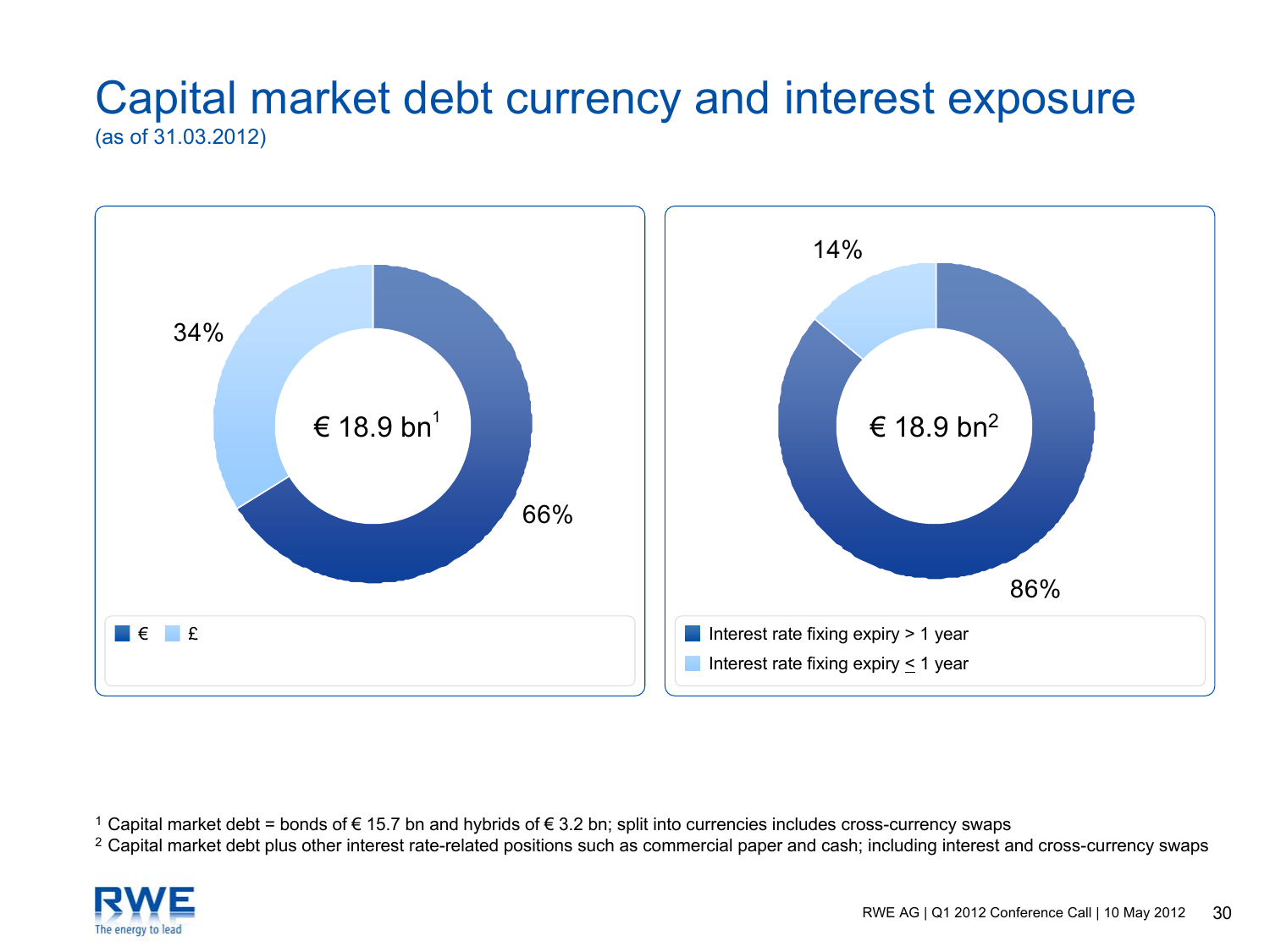#### Capital market debt currency and interest exposure (as of 31.03.2012)



1 Capital market debt = bonds of € 15.7 bn and hybrids of € 3.2 bn; split into currencies includes cross-currency swaps

<sup>2</sup> Capital market debt plus other interest rate-related positions such as commercial paper and cash; including interest and cross-currency swaps

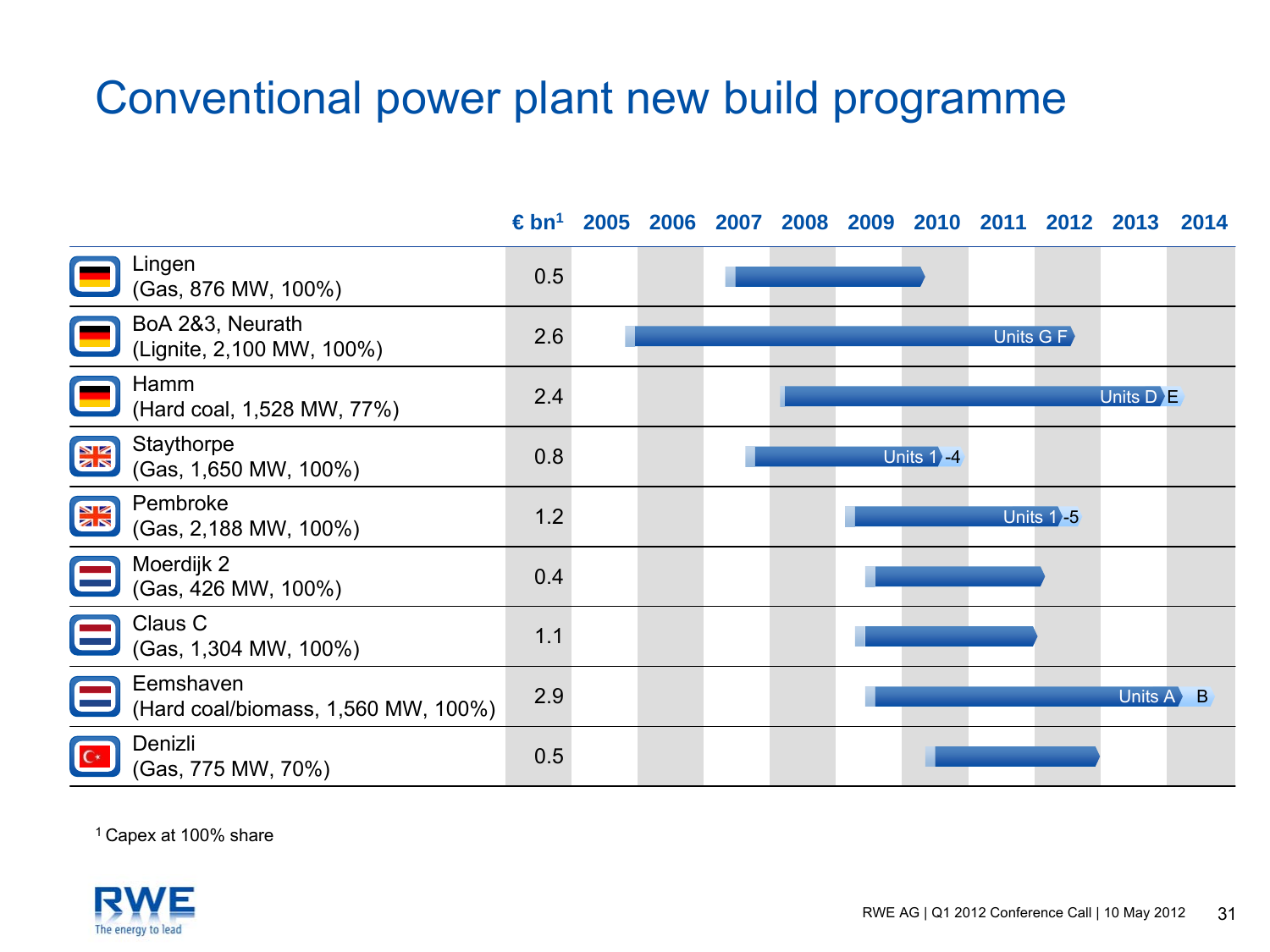#### Conventional power plant new build programme



1 Capex at 100% share

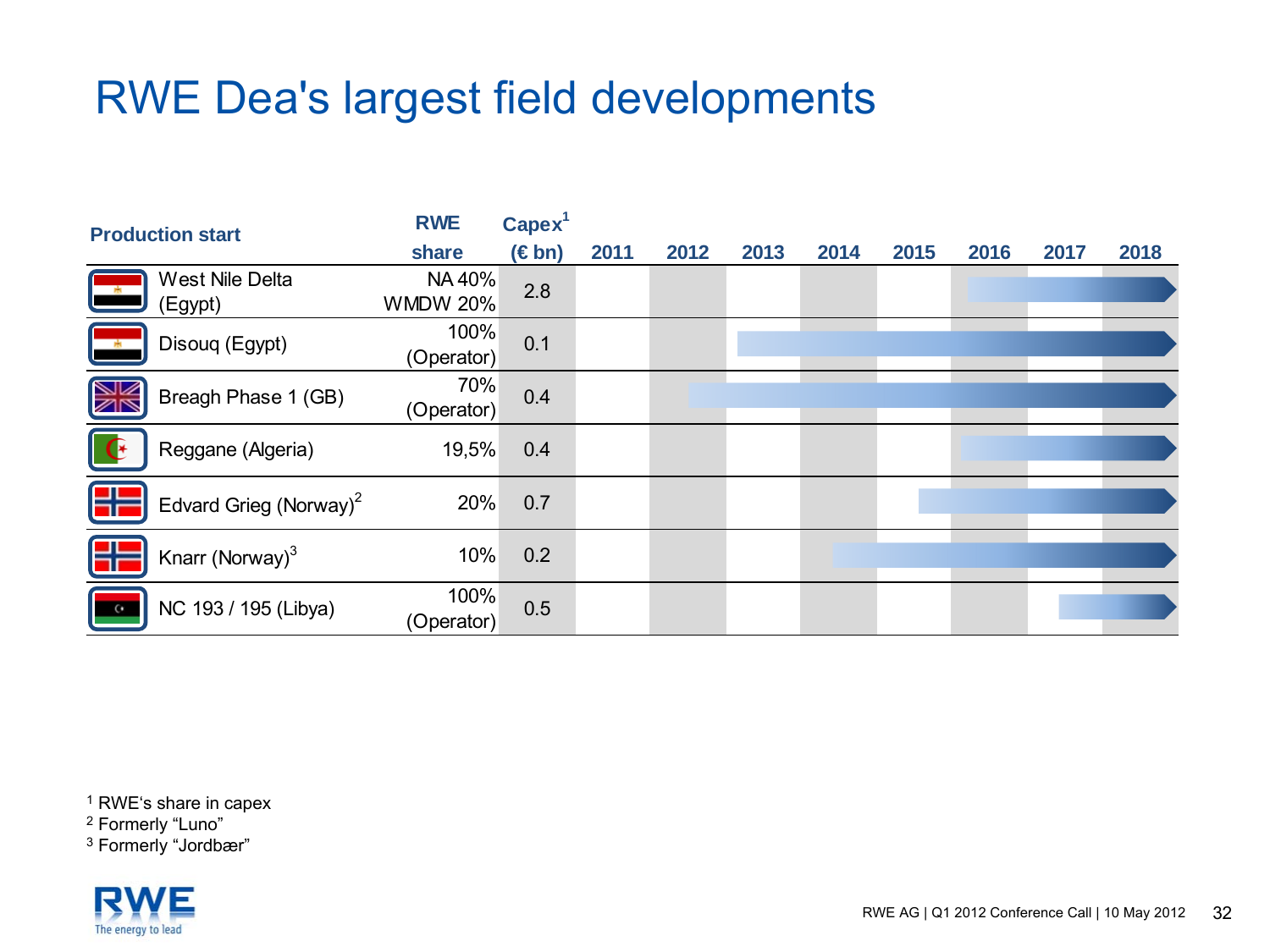#### RWE Dea's largest field developments

| <b>Production start</b> | <b>RWE</b>                         | Capex <sup>1</sup> |            |      |      |      |      |      |      |      |      |
|-------------------------|------------------------------------|--------------------|------------|------|------|------|------|------|------|------|------|
|                         |                                    | share              | $(\in$ bn) | 2011 | 2012 | 2013 | 2014 | 2015 | 2016 | 2017 | 2018 |
|                         | <b>West Nile Delta</b>             | NA 40%             | 2.8        |      |      |      |      |      |      |      |      |
| $\Box$                  | (Egypt)                            | <b>WMDW 20%</b>    |            |      |      |      |      |      |      |      |      |
|                         | Disouq (Egypt)                     | 100%               | 0.1        |      |      |      |      |      |      |      |      |
|                         |                                    | (Operator)         |            |      |      |      |      |      |      |      |      |
| XK                      | Breagh Phase 1 (GB)                | 70%                | 0.4        |      |      |      |      |      |      |      |      |
|                         | (Operator)                         |                    |            |      |      |      |      |      |      |      |      |
|                         | Reggane (Algeria)                  | 19,5%              | 0.4        |      |      |      |      |      |      |      |      |
|                         |                                    |                    |            |      |      |      |      |      |      |      |      |
|                         | Edvard Grieg (Norway) <sup>2</sup> | 20%                | 0.7        |      |      |      |      |      |      |      |      |
|                         |                                    |                    |            |      |      |      |      |      |      |      |      |
|                         | Knarr (Norway) <sup>3</sup>        | 10%                | 0.2        |      |      |      |      |      |      |      |      |
|                         |                                    |                    |            |      |      |      |      |      |      |      |      |
| $\mathbf{G}$            | NC 193 / 195 (Libya)               | 100%               | 0.5        |      |      |      |      |      |      |      |      |
|                         |                                    | (Operator)         |            |      |      |      |      |      |      |      |      |

1 RWE's share in capex <sup>2</sup> Formerly "Luno"

3 Formerly "Jordbær"

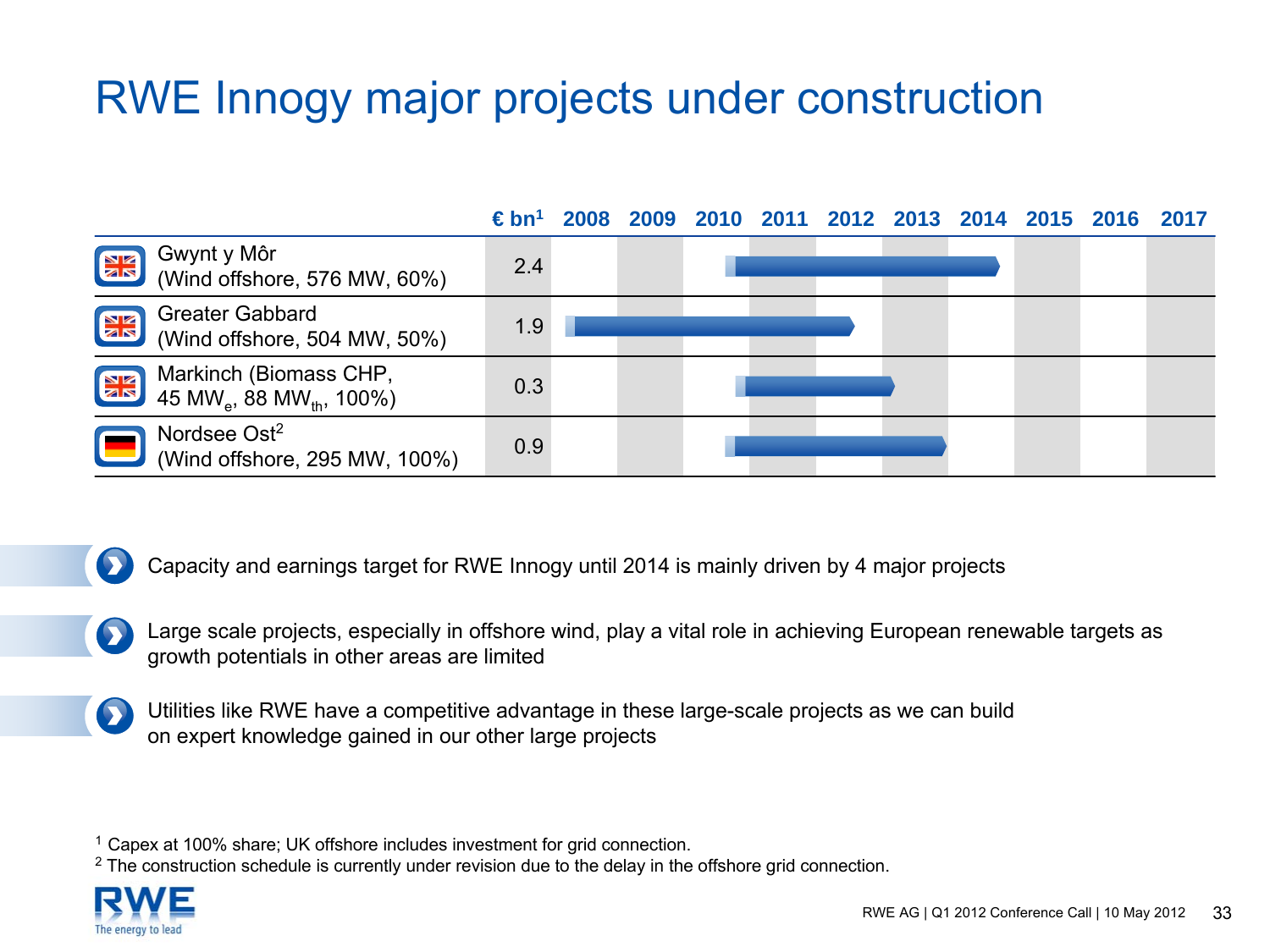#### RWE Innogy major projects under construction



 $\blacktriangledown$ Capacity and earnings target for RWE Innogy until 2014 is mainly driven by 4 major projects

- Large scale projects, especially in offshore wind, play a vital role in achieving European renewable targets as growth potentials in other areas are limited
- Utilities like RWE have a competitive advantage in these large-scale projects as we can build  $\bullet$ on expert knowledge gained in our other large projects

<sup>1</sup> Capex at 100% share; UK offshore includes investment for grid connection.

 $2$  The construction schedule is currently under revision due to the delay in the offshore grid connection.